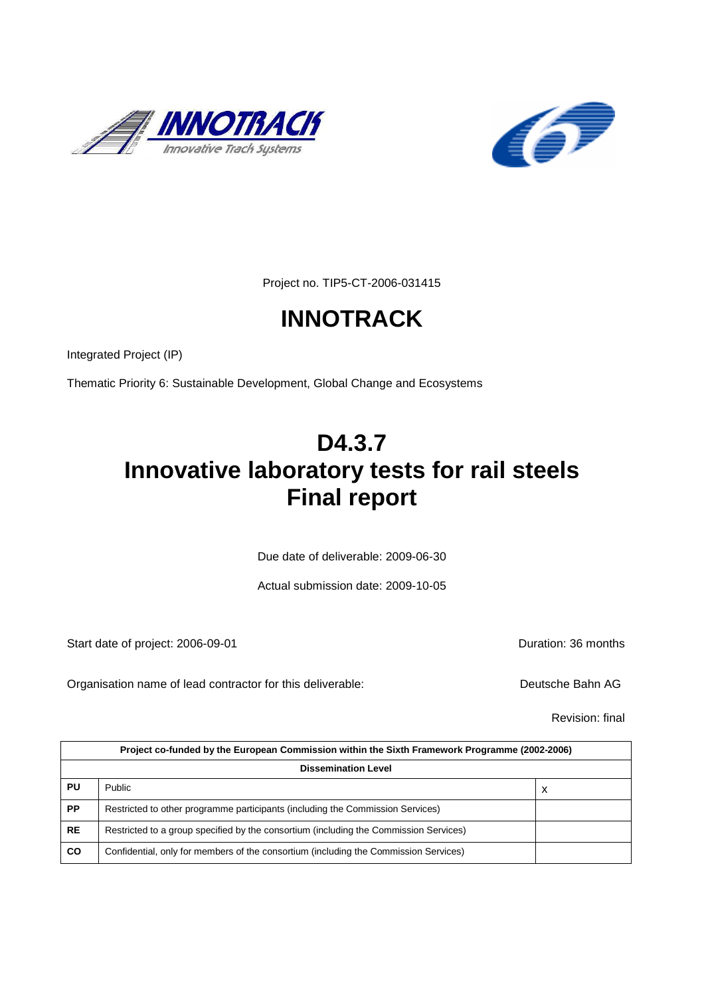



Project no. TIP5-CT-2006-031415

# **INNOTRACK**

Integrated Project (IP)

Thematic Priority 6: Sustainable Development, Global Change and Ecosystems

# **D4.3.7 Innovative laboratory tests for rail steels Final report**

Due date of deliverable: 2009-06-30

Actual submission date: 2009-10-05

Start date of project: 2006-09-01 contract the contract of project: 2006-09-01

Organisation name of lead contractor for this deliverable: Deutsche Bahn AG

Revision: final

|           | Project co-funded by the European Commission within the Sixth Framework Programme (2002-2006) |   |  |  |  |  |  |
|-----------|-----------------------------------------------------------------------------------------------|---|--|--|--|--|--|
|           | <b>Dissemination Level</b>                                                                    |   |  |  |  |  |  |
| PU        | <b>Public</b>                                                                                 | x |  |  |  |  |  |
| <b>PP</b> | Restricted to other programme participants (including the Commission Services)                |   |  |  |  |  |  |
| <b>RE</b> | Restricted to a group specified by the consortium (including the Commission Services)         |   |  |  |  |  |  |
| <b>CO</b> | Confidential, only for members of the consortium (including the Commission Services)          |   |  |  |  |  |  |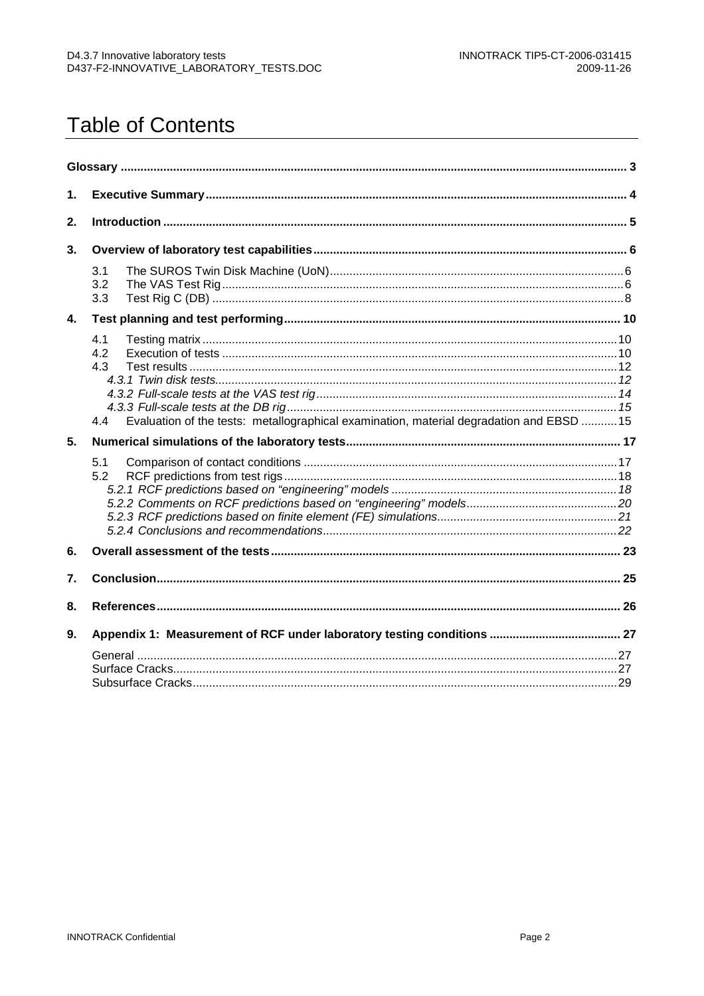# **Table of Contents**

| 1.               |                                                                                                                     |  |
|------------------|---------------------------------------------------------------------------------------------------------------------|--|
| 2.               |                                                                                                                     |  |
| 3.               |                                                                                                                     |  |
|                  | 3.1<br>3.2<br>3.3                                                                                                   |  |
| 4.               |                                                                                                                     |  |
|                  | 4.1<br>4.2<br>4.3<br>Evaluation of the tests: metallographical examination, material degradation and EBSD 15<br>4.4 |  |
| 5.               |                                                                                                                     |  |
|                  | 5.1<br>5.2                                                                                                          |  |
| 6.               |                                                                                                                     |  |
| $\overline{7}$ . |                                                                                                                     |  |
| 8.               |                                                                                                                     |  |
| 9.               |                                                                                                                     |  |
|                  |                                                                                                                     |  |
|                  |                                                                                                                     |  |
|                  |                                                                                                                     |  |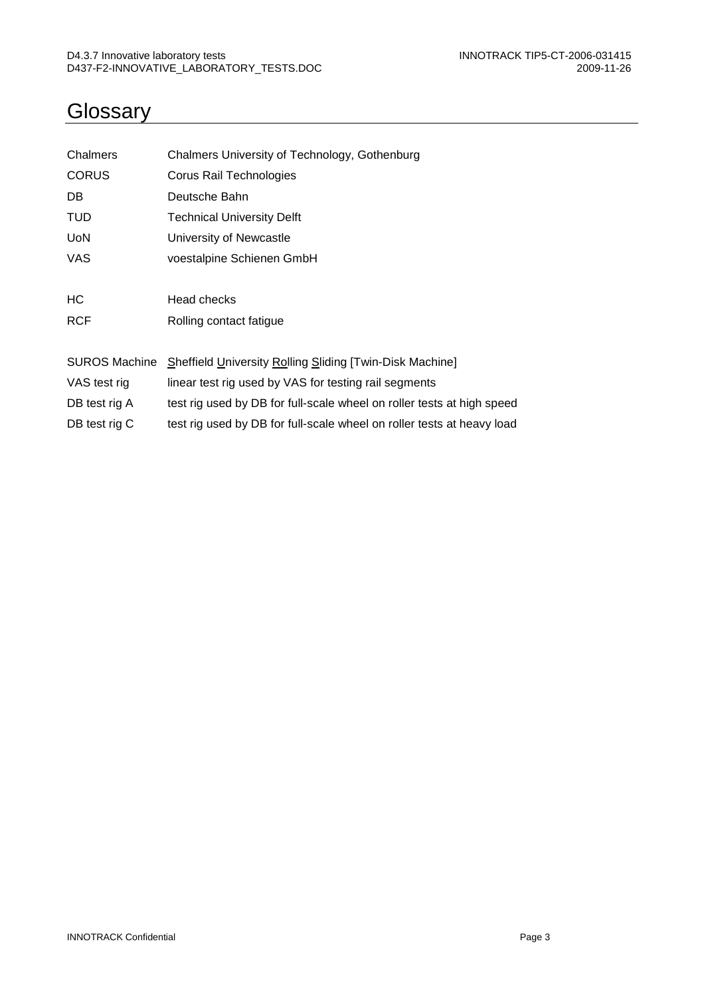## **Glossary**

| Chalmers             | Chalmers University of Technology, Gothenburg                          |
|----------------------|------------------------------------------------------------------------|
| <b>CORUS</b>         | Corus Rail Technologies                                                |
| DB                   | Deutsche Bahn                                                          |
| TUD                  | <b>Technical University Delft</b>                                      |
| UoN                  | University of Newcastle                                                |
| VAS.                 | voestalpine Schienen GmbH                                              |
|                      |                                                                        |
| HС                   | Head checks                                                            |
| <b>RCF</b>           | Rolling contact fatigue                                                |
|                      |                                                                        |
| <b>SUROS Machine</b> | Sheffield University Rolling Sliding [Twin-Disk Machine]               |
| VAS test rig         | linear test rig used by VAS for testing rail segments                  |
| DB test rig A        | test rig used by DB for full-scale wheel on roller tests at high speed |
| DB test rig C        | test rig used by DB for full-scale wheel on roller tests at heavy load |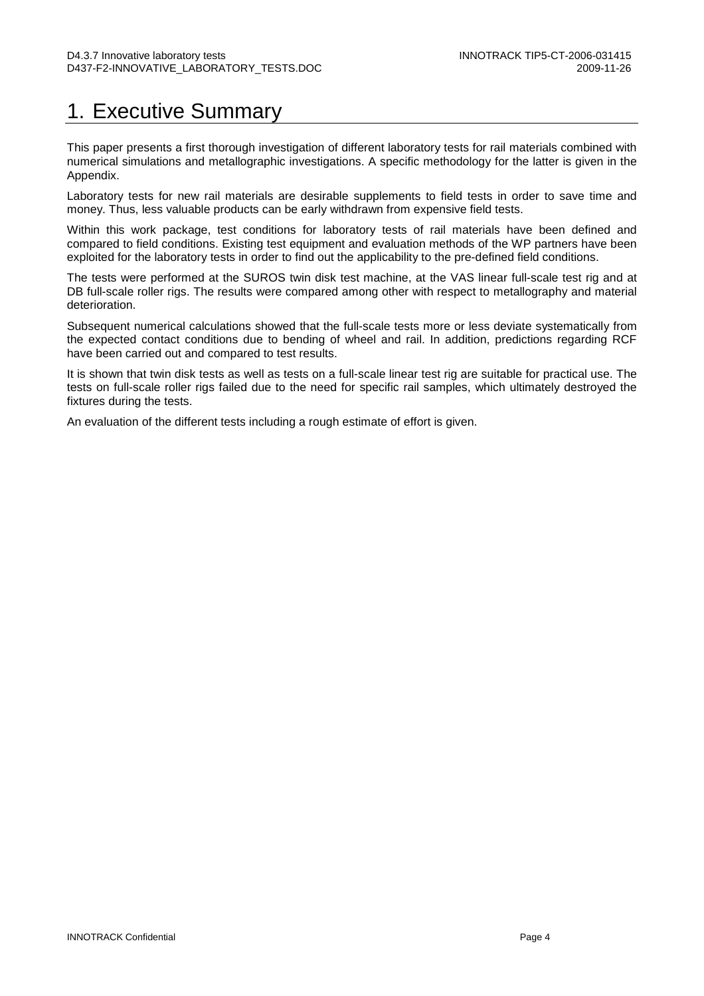# 1. Executive Summary

This paper presents a first thorough investigation of different laboratory tests for rail materials combined with numerical simulations and metallographic investigations. A specific methodology for the latter is given in the Appendix.

Laboratory tests for new rail materials are desirable supplements to field tests in order to save time and money. Thus, less valuable products can be early withdrawn from expensive field tests.

Within this work package, test conditions for laboratory tests of rail materials have been defined and compared to field conditions. Existing test equipment and evaluation methods of the WP partners have been exploited for the laboratory tests in order to find out the applicability to the pre-defined field conditions.

The tests were performed at the SUROS twin disk test machine, at the VAS linear full-scale test rig and at DB full-scale roller rigs. The results were compared among other with respect to metallography and material deterioration.

Subsequent numerical calculations showed that the full-scale tests more or less deviate systematically from the expected contact conditions due to bending of wheel and rail. In addition, predictions regarding RCF have been carried out and compared to test results.

It is shown that twin disk tests as well as tests on a full-scale linear test rig are suitable for practical use. The tests on full-scale roller rigs failed due to the need for specific rail samples, which ultimately destroyed the fixtures during the tests.

An evaluation of the different tests including a rough estimate of effort is given.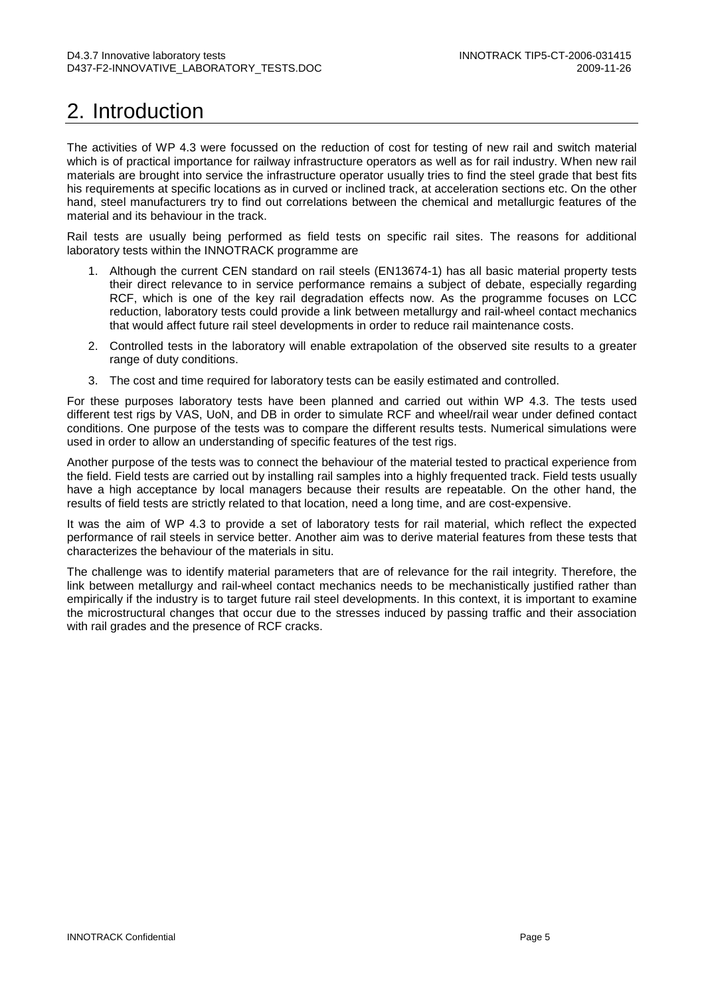# 2. Introduction

The activities of WP 4.3 were focussed on the reduction of cost for testing of new rail and switch material which is of practical importance for railway infrastructure operators as well as for rail industry. When new rail materials are brought into service the infrastructure operator usually tries to find the steel grade that best fits his requirements at specific locations as in curved or inclined track, at acceleration sections etc. On the other hand, steel manufacturers try to find out correlations between the chemical and metallurgic features of the material and its behaviour in the track.

Rail tests are usually being performed as field tests on specific rail sites. The reasons for additional laboratory tests within the INNOTRACK programme are

- 1. Although the current CEN standard on rail steels (EN13674-1) has all basic material property tests their direct relevance to in service performance remains a subject of debate, especially regarding RCF, which is one of the key rail degradation effects now. As the programme focuses on LCC reduction, laboratory tests could provide a link between metallurgy and rail-wheel contact mechanics that would affect future rail steel developments in order to reduce rail maintenance costs.
- 2. Controlled tests in the laboratory will enable extrapolation of the observed site results to a greater range of duty conditions.
- 3. The cost and time required for laboratory tests can be easily estimated and controlled.

For these purposes laboratory tests have been planned and carried out within WP 4.3. The tests used different test rigs by VAS, UoN, and DB in order to simulate RCF and wheel/rail wear under defined contact conditions. One purpose of the tests was to compare the different results tests. Numerical simulations were used in order to allow an understanding of specific features of the test rigs.

Another purpose of the tests was to connect the behaviour of the material tested to practical experience from the field. Field tests are carried out by installing rail samples into a highly frequented track. Field tests usually have a high acceptance by local managers because their results are repeatable. On the other hand, the results of field tests are strictly related to that location, need a long time, and are cost-expensive.

It was the aim of WP 4.3 to provide a set of laboratory tests for rail material, which reflect the expected performance of rail steels in service better. Another aim was to derive material features from these tests that characterizes the behaviour of the materials in situ.

The challenge was to identify material parameters that are of relevance for the rail integrity. Therefore, the link between metallurgy and rail-wheel contact mechanics needs to be mechanistically justified rather than empirically if the industry is to target future rail steel developments. In this context, it is important to examine the microstructural changes that occur due to the stresses induced by passing traffic and their association with rail grades and the presence of RCF cracks.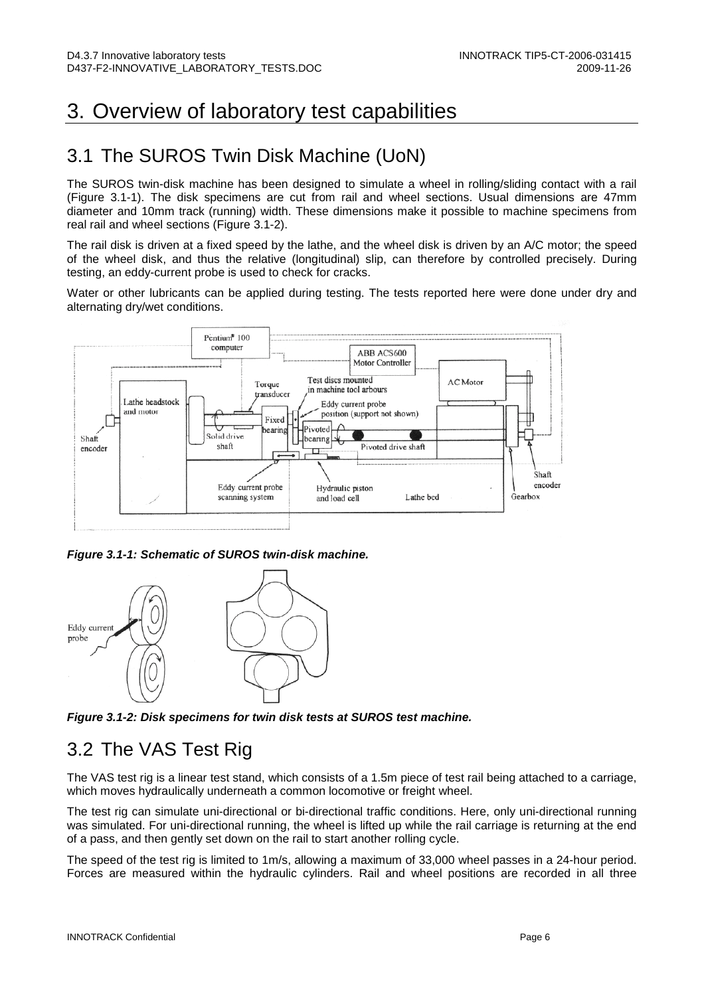# 3. Overview of laboratory test capabilities

## 3.1 The SUROS Twin Disk Machine (UoN)

The SUROS twin-disk machine has been designed to simulate a wheel in rolling/sliding contact with a rail (Figure 3.1-1). The disk specimens are cut from rail and wheel sections. Usual dimensions are 47mm diameter and 10mm track (running) width. These dimensions make it possible to machine specimens from real rail and wheel sections (Figure 3.1-2).

The rail disk is driven at a fixed speed by the lathe, and the wheel disk is driven by an A/C motor; the speed of the wheel disk, and thus the relative (longitudinal) slip, can therefore by controlled precisely. During testing, an eddy-current probe is used to check for cracks.

Water or other lubricants can be applied during testing. The tests reported here were done under dry and alternating dry/wet conditions.



**Figure 3.1-1: Schematic of SUROS twin-disk machine.**



**Figure 3.1-2: Disk specimens for twin disk tests at SUROS test machine.** 

## 3.2 The VAS Test Rig

The VAS test rig is a linear test stand, which consists of a 1.5m piece of test rail being attached to a carriage, which moves hydraulically underneath a common locomotive or freight wheel.

The test rig can simulate uni-directional or bi-directional traffic conditions. Here, only uni-directional running was simulated. For uni-directional running, the wheel is lifted up while the rail carriage is returning at the end of a pass, and then gently set down on the rail to start another rolling cycle.

The speed of the test rig is limited to 1m/s, allowing a maximum of 33,000 wheel passes in a 24-hour period. Forces are measured within the hydraulic cylinders. Rail and wheel positions are recorded in all three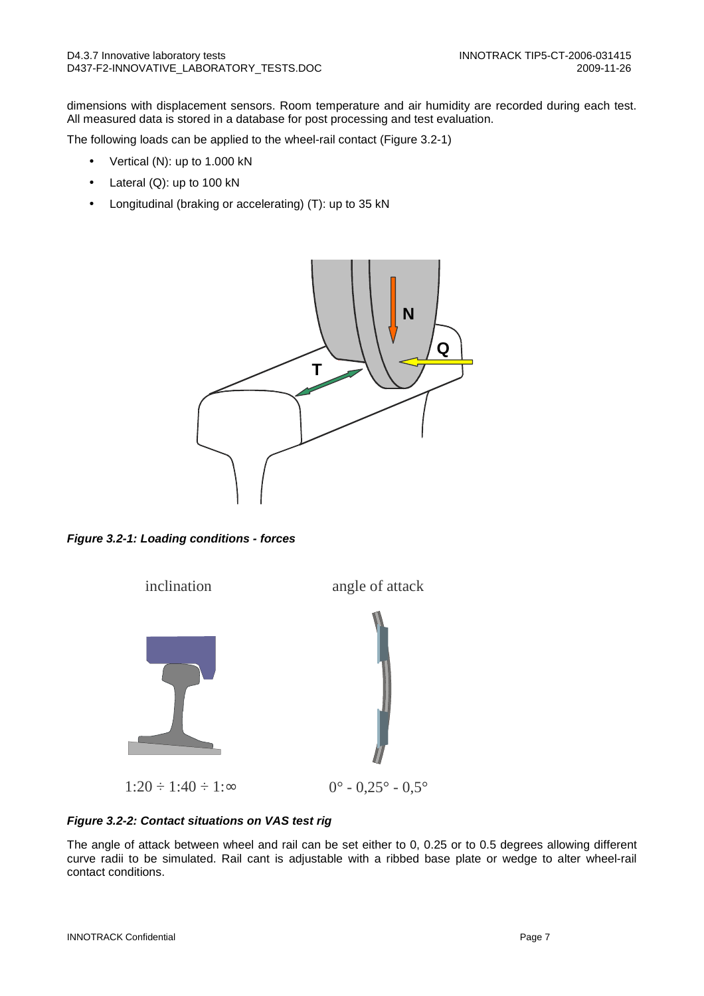dimensions with displacement sensors. Room temperature and air humidity are recorded during each test. All measured data is stored in a database for post processing and test evaluation.

The following loads can be applied to the wheel-rail contact (Figure 3.2-1)

- Vertical (N): up to 1.000 kN
- Lateral (Q): up to 100 kN
- Longitudinal (braking or accelerating) (T): up to 35 kN



**Figure 3.2-1: Loading conditions - forces** 



**Figure 3.2-2: Contact situations on VAS test rig** 

The angle of attack between wheel and rail can be set either to 0, 0.25 or to 0.5 degrees allowing different curve radii to be simulated. Rail cant is adjustable with a ribbed base plate or wedge to alter wheel-rail contact conditions.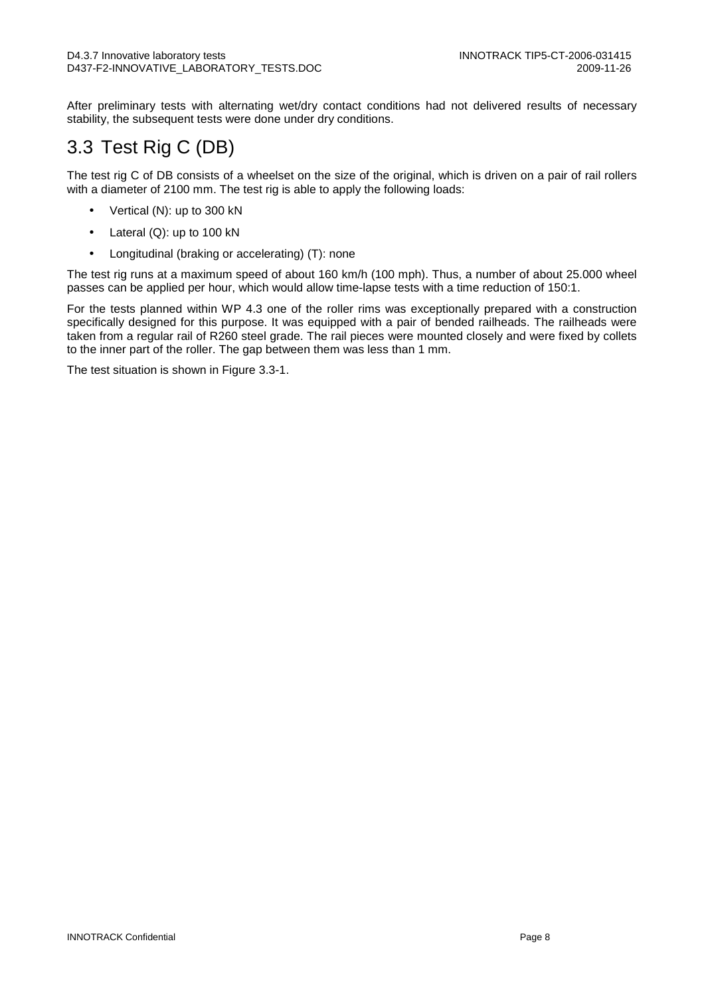After preliminary tests with alternating wet/dry contact conditions had not delivered results of necessary stability, the subsequent tests were done under dry conditions.

## 3.3 Test Rig C (DB)

The test rig C of DB consists of a wheelset on the size of the original, which is driven on a pair of rail rollers with a diameter of 2100 mm. The test rig is able to apply the following loads:

- Vertical (N): up to 300 kN
- Lateral (Q): up to 100 kN
- Longitudinal (braking or accelerating) (T): none

The test rig runs at a maximum speed of about 160 km/h (100 mph). Thus, a number of about 25.000 wheel passes can be applied per hour, which would allow time-lapse tests with a time reduction of 150:1.

For the tests planned within WP 4.3 one of the roller rims was exceptionally prepared with a construction specifically designed for this purpose. It was equipped with a pair of bended railheads. The railheads were taken from a regular rail of R260 steel grade. The rail pieces were mounted closely and were fixed by collets to the inner part of the roller. The gap between them was less than 1 mm.

The test situation is shown in Figure 3.3-1.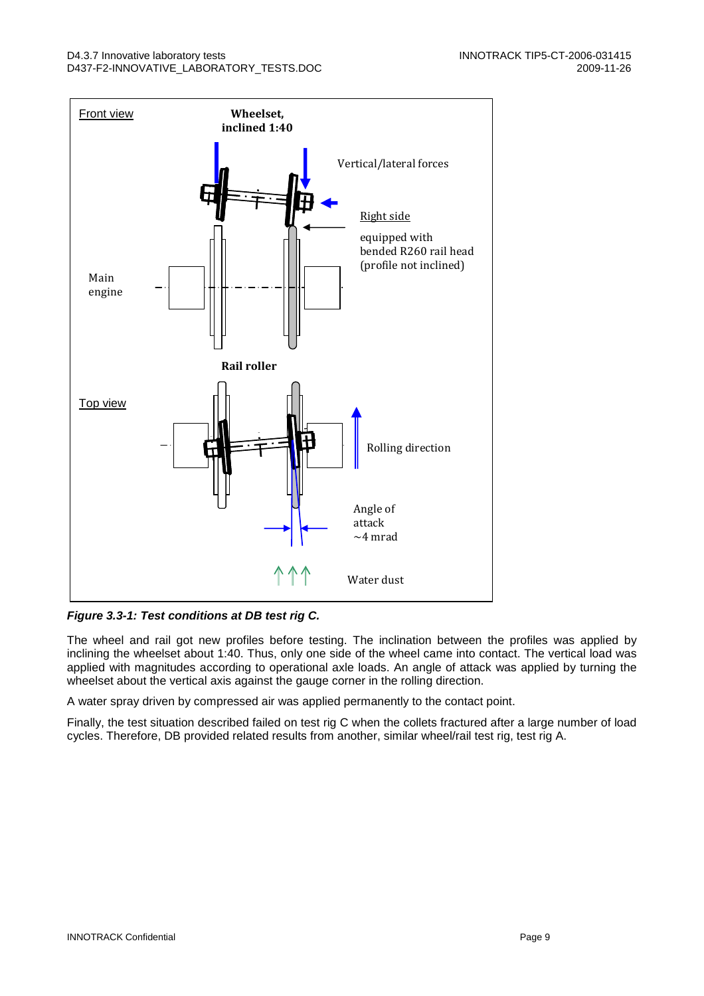

**Figure 3.3-1: Test conditions at DB test rig C.** 

The wheel and rail got new profiles before testing. The inclination between the profiles was applied by inclining the wheelset about 1:40. Thus, only one side of the wheel came into contact. The vertical load was applied with magnitudes according to operational axle loads. An angle of attack was applied by turning the wheelset about the vertical axis against the gauge corner in the rolling direction.

A water spray driven by compressed air was applied permanently to the contact point.

Finally, the test situation described failed on test rig C when the collets fractured after a large number of load cycles. Therefore, DB provided related results from another, similar wheel/rail test rig, test rig A.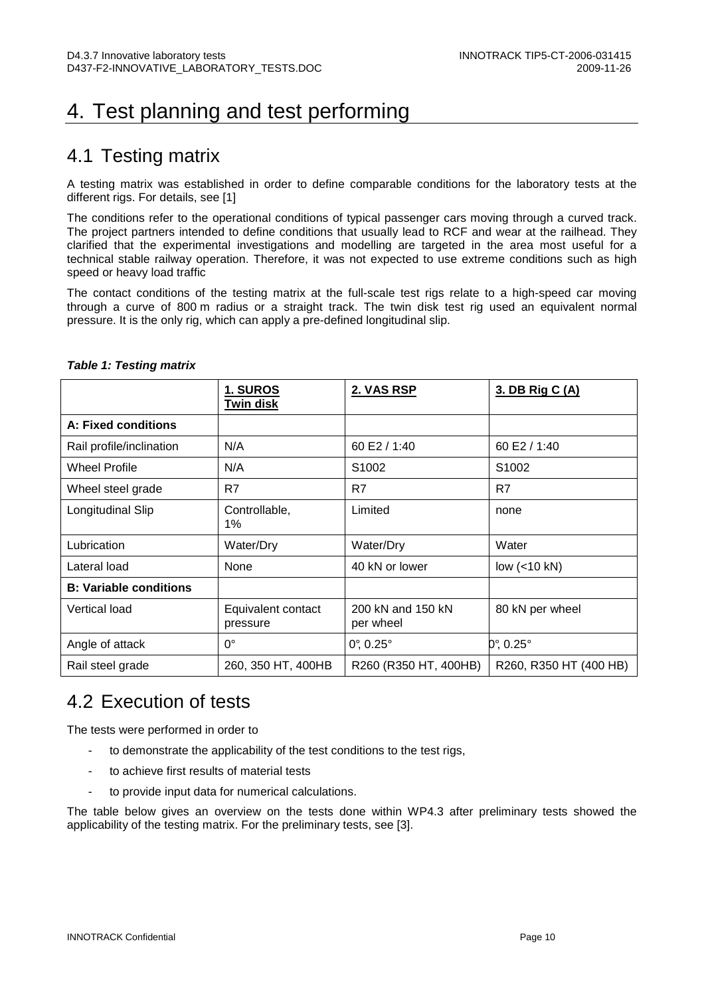# 4. Test planning and test performing

### 4.1 Testing matrix

A testing matrix was established in order to define comparable conditions for the laboratory tests at the different rigs. For details, see [1]

The conditions refer to the operational conditions of typical passenger cars moving through a curved track. The project partners intended to define conditions that usually lead to RCF and wear at the railhead. They clarified that the experimental investigations and modelling are targeted in the area most useful for a technical stable railway operation. Therefore, it was not expected to use extreme conditions such as high speed or heavy load traffic

The contact conditions of the testing matrix at the full-scale test rigs relate to a high-speed car moving through a curve of 800 m radius or a straight track. The twin disk test rig used an equivalent normal pressure. It is the only rig, which can apply a pre-defined longitudinal slip.

|                               | 1. SUROS<br><u>Twin disk</u>   | 2. VAS RSP                     | 3. DB Rig C (A)               |
|-------------------------------|--------------------------------|--------------------------------|-------------------------------|
| A: Fixed conditions           |                                |                                |                               |
| Rail profile/inclination      | N/A                            | 60 E2 / 1:40                   | 60 E2 / 1:40                  |
| <b>Wheel Profile</b>          | N/A                            | S1002                          | S1002                         |
| Wheel steel grade             | R7                             | R7                             | R7                            |
| Longitudinal Slip             | Controllable,<br>1%            | Limited                        | none                          |
| Lubrication                   | Water/Dry                      | Water/Dry                      | Water                         |
| Lateral load                  | None                           | 40 kN or lower                 | low $(<10$ kN)                |
| <b>B: Variable conditions</b> |                                |                                |                               |
| Vertical load                 | Equivalent contact<br>pressure | 200 kN and 150 kN<br>per wheel | 80 kN per wheel               |
| Angle of attack               | $0^{\circ}$                    | $0^\circ$ , $0.25^\circ$       | $0^{\circ}$ , 0.25 $^{\circ}$ |
| Rail steel grade              | 260, 350 HT, 400HB             | R260 (R350 HT, 400HB)          | R260, R350 HT (400 HB)        |

#### **Table 1: Testing matrix**

## 4.2 Execution of tests

The tests were performed in order to

- to demonstrate the applicability of the test conditions to the test rigs,
- to achieve first results of material tests
- to provide input data for numerical calculations.

The table below gives an overview on the tests done within WP4.3 after preliminary tests showed the applicability of the testing matrix. For the preliminary tests, see [3].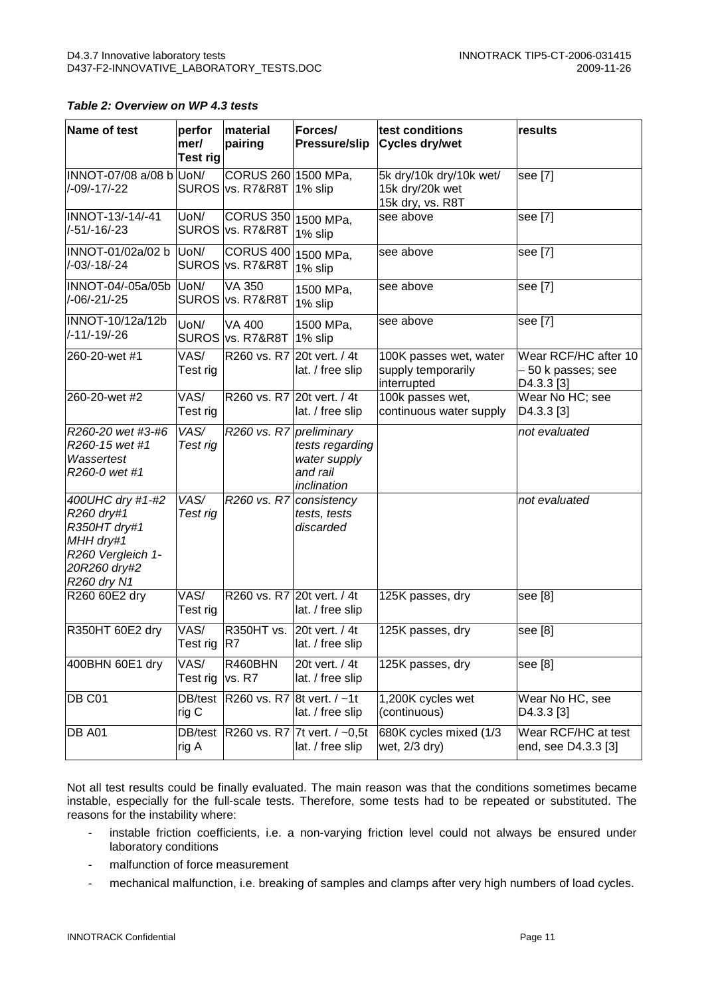**Table 2: Overview on WP 4.3 tests** 

| Name of test                                                                                                    | perfor<br>mer/<br><b>Test rig</b> | material<br>pairing                       | Forces/<br><b>Pressure/slip</b>                            | test conditions<br><b>Cycles dry/wet</b>                       | results                                                  |
|-----------------------------------------------------------------------------------------------------------------|-----------------------------------|-------------------------------------------|------------------------------------------------------------|----------------------------------------------------------------|----------------------------------------------------------|
| INNOT-07/08 a/08 b UoN/<br>/-09/-17/-22                                                                         | <b>SUROS</b>                      | CORUS 260 1500 MPa,<br>vs. R7&R8T 1% slip |                                                            | 5k dry/10k dry/10k wet/<br>15k dry/20k wet<br>15k dry, vs. R8T | see [7]                                                  |
| INNOT-13/-14/-41<br>/-51/-16/-23                                                                                | UoN/                              | CORUS 350 1500 MPa,<br>SUROS vs. R7&R8T   | 1% slip                                                    | see above                                                      | see [7]                                                  |
| INNOT-01/02a/02 b<br>$/ -03/ -18/ -24$                                                                          | UoN/                              | CORUS 400 1500 MPa,<br>SUROS vs. R7&R8T   | 1% slip                                                    | see above                                                      | see [7]                                                  |
| INNOT-04/-05a/05b<br>/-06/-21/-25                                                                               | UoN/                              | VA 350<br>SUROS vs. R7&R8T                | 1500 MPa,<br>1% slip                                       | see above                                                      | see [7]                                                  |
| INNOT-10/12a/12b<br>/-11/-19/-26                                                                                | UoN/                              | <b>VA 400</b><br>SUROS vs. R7&R8T         | 1500 MPa,<br>1% slip                                       | see above                                                      | see [7]                                                  |
| 260-20-wet #1                                                                                                   | VAS/<br>Test rig                  |                                           | R260 vs. R7 20t vert. / 4t<br>lat. / free slip             | 100K passes wet, water<br>supply temporarily<br>interrupted    | Wear RCF/HC after 10<br>- 50 k passes; see<br>D4.3.3 [3] |
| 260-20-wet #2                                                                                                   | VAS/<br>Test rig                  |                                           | R260 vs. R7 20t vert. / 4t<br>lat. / free slip             | 100k passes wet,<br>continuous water supply                    | Wear No HC; see<br>D4.3.3 [3]                            |
| R260-20 wet #3-#6<br>R260-15 wet #1<br>Wassertest<br>R260-0 wet #1                                              | VAS/<br>Test rig                  | R260 vs. R7 preliminary                   | tests regarding<br>water supply<br>and rail<br>inclination |                                                                | not evaluated                                            |
| 400UHC dry #1-#2<br>R260 dry#1<br>R350HT dry#1<br>MHH dry#1<br>R260 Vergleich 1-<br>20R260 dry#2<br>R260 dry N1 | VAS/<br>Test rig                  | R <sub>260</sub> vs. R <sub>7</sub>       | consistency<br>tests, tests<br>discarded                   |                                                                | not evaluated                                            |
| R260 60E2 dry                                                                                                   | VAS/<br>Test rig                  |                                           | R260 vs. R7 20t vert. / 4t<br>lat. / free slip             | 125K passes, dry                                               | see [8]                                                  |
| R350HT 60E2 dry                                                                                                 | VAS/<br>Test rig                  | R350HT vs.<br>R7                          | 20t vert. / 4t<br>lat. / free slip                         | 125K passes, dry                                               | see [8]                                                  |
| 400BHN 60E1 dry                                                                                                 | VAS/<br>Test rig                  | R460BHN<br>vs. R7                         | 20t vert. / 4t<br>lat. / free slip                         | 125K passes, dry                                               | see [8]                                                  |
| DB C01                                                                                                          | DB/test<br>rig C                  | R260 vs. R7                               | 8t vert. $/$ ~1t<br>lat. / free slip                       | 1,200K cycles wet<br>(continuous)                              | Wear No HC, see<br>D4.3.3 [3]                            |
| <b>DB A01</b>                                                                                                   | DB/test<br>rig A                  |                                           | R260 vs. R7 7t vert. / ~0,5t<br>lat. / free slip           | 680K cycles mixed (1/3<br>wet, 2/3 dry)                        | Wear RCF/HC at test<br>end, see D4.3.3 [3]               |

Not all test results could be finally evaluated. The main reason was that the conditions sometimes became instable, especially for the full-scale tests. Therefore, some tests had to be repeated or substituted. The reasons for the instability where:

- instable friction coefficients, i.e. a non-varying friction level could not always be ensured under laboratory conditions
- malfunction of force measurement
- mechanical malfunction, i.e. breaking of samples and clamps after very high numbers of load cycles.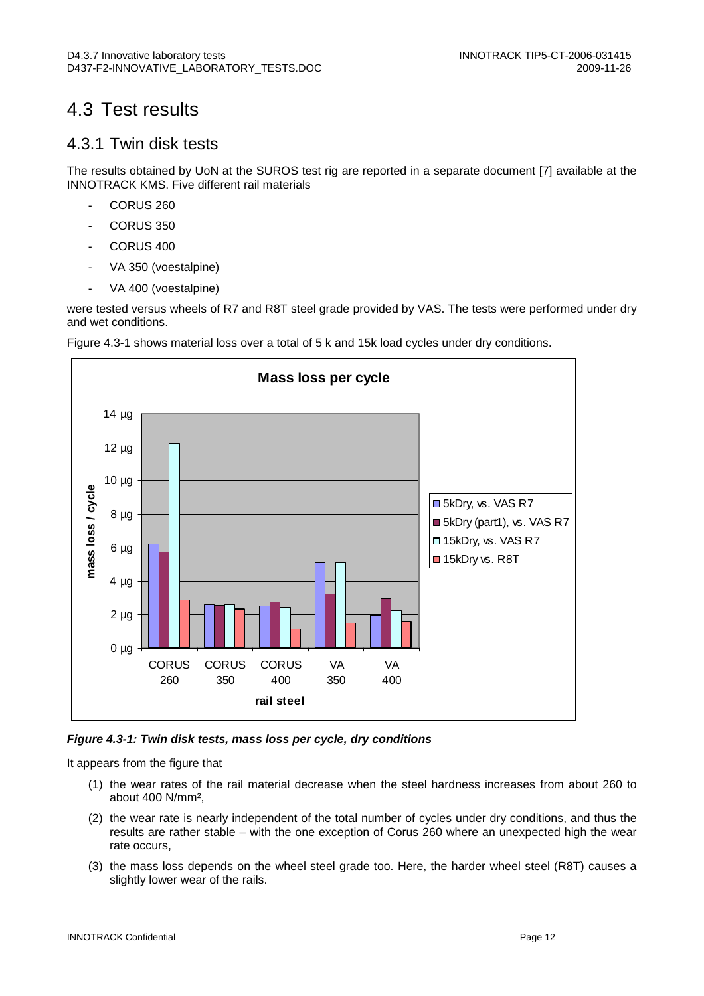## 4.3 Test results

### 4.3.1 Twin disk tests

The results obtained by UoN at the SUROS test rig are reported in a separate document [7] available at the INNOTRACK KMS. Five different rail materials

- CORUS 260
- **CORUS 350**
- CORUS 400
- VA 350 (voestalpine)
- VA 400 (voestalpine)

were tested versus wheels of R7 and R8T steel grade provided by VAS. The tests were performed under dry and wet conditions.



Figure 4.3-1 shows material loss over a total of 5 k and 15k load cycles under dry conditions.

**Figure 4.3-1: Twin disk tests, mass loss per cycle, dry conditions** 

It appears from the figure that

- (1) the wear rates of the rail material decrease when the steel hardness increases from about 260 to about 400 N/mm²,
- (2) the wear rate is nearly independent of the total number of cycles under dry conditions, and thus the results are rather stable – with the one exception of Corus 260 where an unexpected high the wear rate occurs,
- (3) the mass loss depends on the wheel steel grade too. Here, the harder wheel steel (R8T) causes a slightly lower wear of the rails.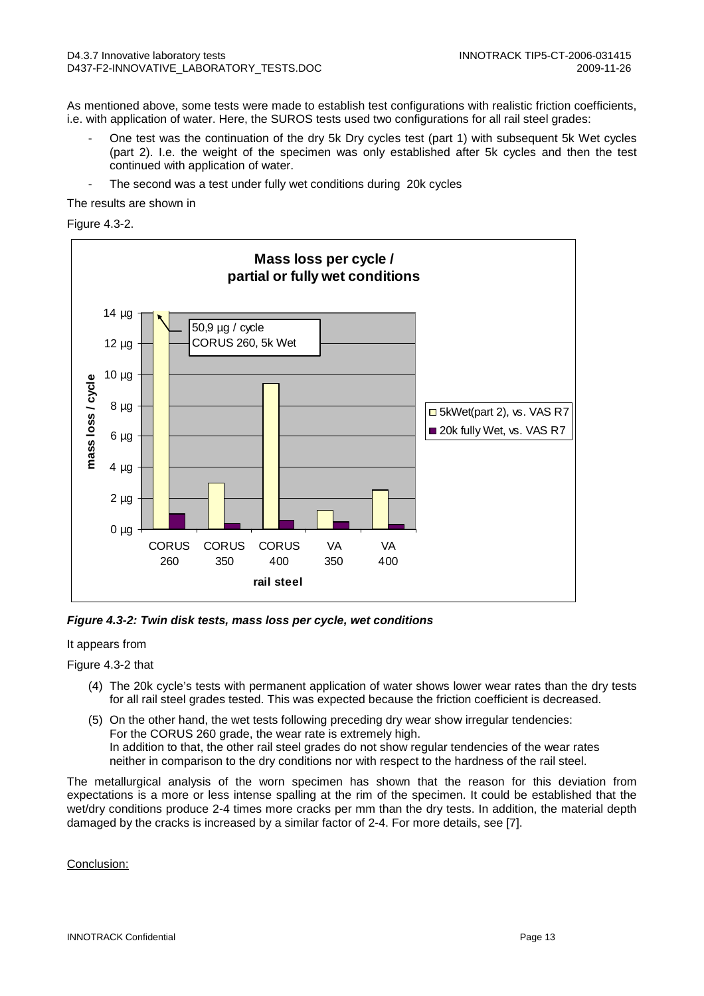As mentioned above, some tests were made to establish test configurations with realistic friction coefficients, i.e. with application of water. Here, the SUROS tests used two configurations for all rail steel grades:

- One test was the continuation of the dry 5k Dry cycles test (part 1) with subsequent 5k Wet cycles (part 2). I.e. the weight of the specimen was only established after 5k cycles and then the test continued with application of water.
- The second was a test under fully wet conditions during 20k cycles

The results are shown in

Figure 4.3-2.



**Figure 4.3-2: Twin disk tests, mass loss per cycle, wet conditions** 

#### It appears from

Figure 4.3-2 that

- (4) The 20k cycle's tests with permanent application of water shows lower wear rates than the dry tests for all rail steel grades tested. This was expected because the friction coefficient is decreased.
- (5) On the other hand, the wet tests following preceding dry wear show irregular tendencies: For the CORUS 260 grade, the wear rate is extremely high. In addition to that, the other rail steel grades do not show regular tendencies of the wear rates neither in comparison to the dry conditions nor with respect to the hardness of the rail steel.

The metallurgical analysis of the worn specimen has shown that the reason for this deviation from expectations is a more or less intense spalling at the rim of the specimen. It could be established that the wet/dry conditions produce 2-4 times more cracks per mm than the dry tests. In addition, the material depth damaged by the cracks is increased by a similar factor of 2-4. For more details, see [7].

Conclusion: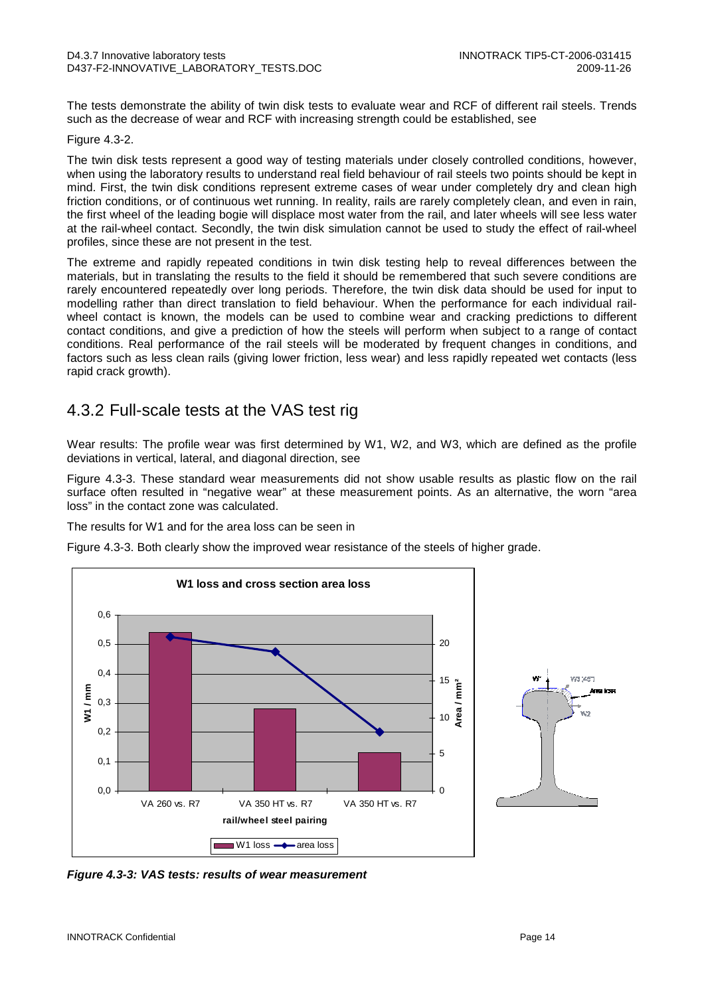The tests demonstrate the ability of twin disk tests to evaluate wear and RCF of different rail steels. Trends such as the decrease of wear and RCF with increasing strength could be established, see

Figure 4.3-2.

The twin disk tests represent a good way of testing materials under closely controlled conditions, however, when using the laboratory results to understand real field behaviour of rail steels two points should be kept in mind. First, the twin disk conditions represent extreme cases of wear under completely dry and clean high friction conditions, or of continuous wet running. In reality, rails are rarely completely clean, and even in rain, the first wheel of the leading bogie will displace most water from the rail, and later wheels will see less water at the rail-wheel contact. Secondly, the twin disk simulation cannot be used to study the effect of rail-wheel profiles, since these are not present in the test.

The extreme and rapidly repeated conditions in twin disk testing help to reveal differences between the materials, but in translating the results to the field it should be remembered that such severe conditions are rarely encountered repeatedly over long periods. Therefore, the twin disk data should be used for input to modelling rather than direct translation to field behaviour. When the performance for each individual railwheel contact is known, the models can be used to combine wear and cracking predictions to different contact conditions, and give a prediction of how the steels will perform when subject to a range of contact conditions. Real performance of the rail steels will be moderated by frequent changes in conditions, and factors such as less clean rails (giving lower friction, less wear) and less rapidly repeated wet contacts (less rapid crack growth).

### 4.3.2 Full-scale tests at the VAS test rig

Wear results: The profile wear was first determined by W1, W2, and W3, which are defined as the profile deviations in vertical, lateral, and diagonal direction, see

Figure 4.3-3. These standard wear measurements did not show usable results as plastic flow on the rail surface often resulted in "negative wear" at these measurement points. As an alternative, the worn "area loss" in the contact zone was calculated.

The results for W1 and for the area loss can be seen in

Figure 4.3-3. Both clearly show the improved wear resistance of the steels of higher grade.



**Figure 4.3-3: VAS tests: results of wear measurement**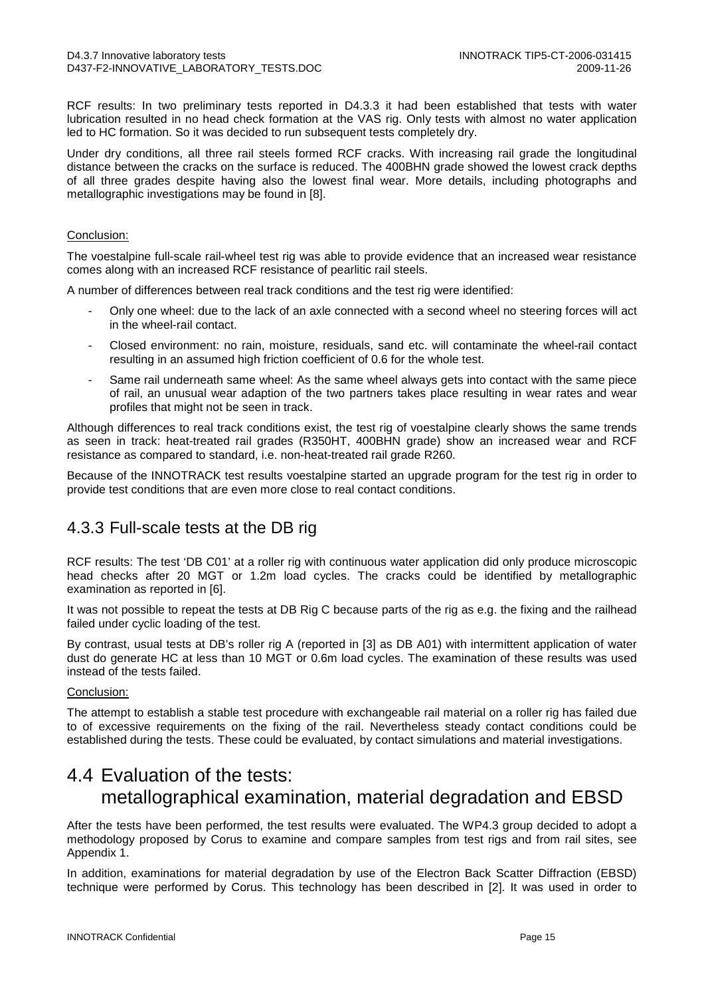RCF results: In two preliminary tests reported in D4.3.3 it had been established that tests with water lubrication resulted in no head check formation at the VAS rig. Only tests with almost no water application led to HC formation. So it was decided to run subsequent tests completely dry.

Under dry conditions, all three rail steels formed RCF cracks. With increasing rail grade the longitudinal distance between the cracks on the surface is reduced. The 400BHN grade showed the lowest crack depths of all three grades despite having also the lowest final wear. More details, including photographs and metallographic investigations may be found in [8].

#### Conclusion:

The voestalpine full-scale rail-wheel test rig was able to provide evidence that an increased wear resistance comes along with an increased RCF resistance of pearlitic rail steels.

A number of differences between real track conditions and the test rig were identified:

- Only one wheel: due to the lack of an axle connected with a second wheel no steering forces will act in the wheel-rail contact.
- Closed environment: no rain, moisture, residuals, sand etc. will contaminate the wheel-rail contact resulting in an assumed high friction coefficient of 0.6 for the whole test.
- Same rail underneath same wheel: As the same wheel always gets into contact with the same piece of rail, an unusual wear adaption of the two partners takes place resulting in wear rates and wear profiles that might not be seen in track.

Although differences to real track conditions exist, the test rig of voestalpine clearly shows the same trends as seen in track: heat-treated rail grades (R350HT, 400BHN grade) show an increased wear and RCF resistance as compared to standard, i.e. non-heat-treated rail grade R260.

Because of the INNOTRACK test results voestalpine started an upgrade program for the test rig in order to provide test conditions that are even more close to real contact conditions.

### 4.3.3 Full-scale tests at the DB rig

RCF results: The test 'DB C01' at a roller rig with continuous water application did only produce microscopic head checks after 20 MGT or 1.2m load cycles. The cracks could be identified by metallographic examination as reported in [6].

It was not possible to repeat the tests at DB Rig C because parts of the rig as e.g. the fixing and the railhead failed under cyclic loading of the test.

By contrast, usual tests at DB's roller rig A (reported in [3] as DB A01) with intermittent application of water dust do generate HC at less than 10 MGT or 0.6m load cycles. The examination of these results was used instead of the tests failed.

#### Conclusion:

The attempt to establish a stable test procedure with exchangeable rail material on a roller rig has failed due to of excessive requirements on the fixing of the rail. Nevertheless steady contact conditions could be established during the tests. These could be evaluated, by contact simulations and material investigations.

### 4.4 Evaluation of the tests: metallographical examination, material degradation and EBSD

After the tests have been performed, the test results were evaluated. The WP4.3 group decided to adopt a methodology proposed by Corus to examine and compare samples from test rigs and from rail sites, see Appendix 1.

In addition, examinations for material degradation by use of the Electron Back Scatter Diffraction (EBSD) technique were performed by Corus. This technology has been described in [2]. It was used in order to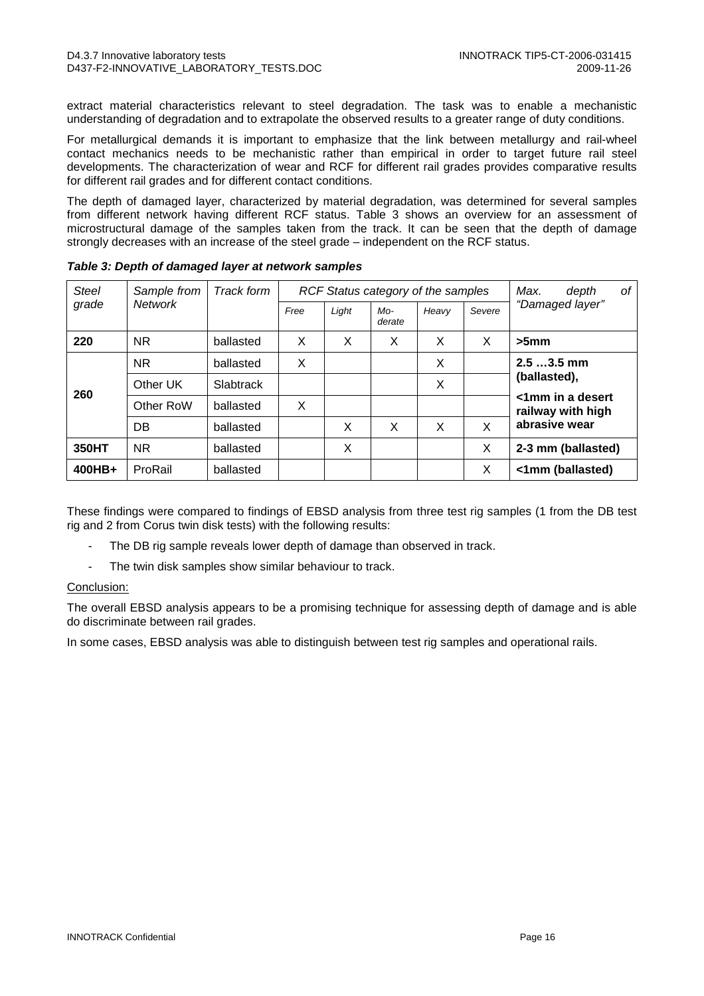extract material characteristics relevant to steel degradation. The task was to enable a mechanistic understanding of degradation and to extrapolate the observed results to a greater range of duty conditions.

For metallurgical demands it is important to emphasize that the link between metallurgy and rail-wheel contact mechanics needs to be mechanistic rather than empirical in order to target future rail steel developments. The characterization of wear and RCF for different rail grades provides comparative results for different rail grades and for different contact conditions.

The depth of damaged layer, characterized by material degradation, was determined for several samples from different network having different RCF status. Table 3 shows an overview for an assessment of microstructural damage of the samples taken from the track. It can be seen that the depth of damage strongly decreases with an increase of the steel grade – independent on the RCF status.

| <b>Steel</b> | Sample from    | Track form | RCF Status category of the samples |       |                 |       |        | οf<br>Max.<br>depth                   |
|--------------|----------------|------------|------------------------------------|-------|-----------------|-------|--------|---------------------------------------|
| grade        | <b>Network</b> |            | Free                               | Light | $Mo-$<br>derate | Heavy | Severe | "Damaged layer"                       |
| 220          | <b>NR</b>      | ballasted  | X                                  | X     | X               | X     | X      | >5mm                                  |
|              | <b>NR</b>      | ballasted  | X                                  |       |                 | X     |        | $2.53.5$ mm                           |
| 260          | Other UK       | Slabtrack  |                                    |       |                 | X     |        | (ballasted),                          |
|              | Other RoW      | ballasted  | X                                  |       |                 |       |        | <1mm in a desert<br>railway with high |
|              | <b>DB</b>      | ballasted  |                                    | X     | X               | X     | X      | abrasive wear                         |
| 350HT        | <b>NR</b>      | ballasted  |                                    | X     |                 |       | X      | 2-3 mm (ballasted)                    |
| 400HB+       | ProRail        | ballasted  |                                    |       |                 |       | X      | <1mm (ballasted)                      |

**Table 3: Depth of damaged layer at network samples** 

These findings were compared to findings of EBSD analysis from three test rig samples (1 from the DB test rig and 2 from Corus twin disk tests) with the following results:

- The DB rig sample reveals lower depth of damage than observed in track.
- The twin disk samples show similar behaviour to track.

#### Conclusion:

The overall EBSD analysis appears to be a promising technique for assessing depth of damage and is able do discriminate between rail grades.

In some cases, EBSD analysis was able to distinguish between test rig samples and operational rails.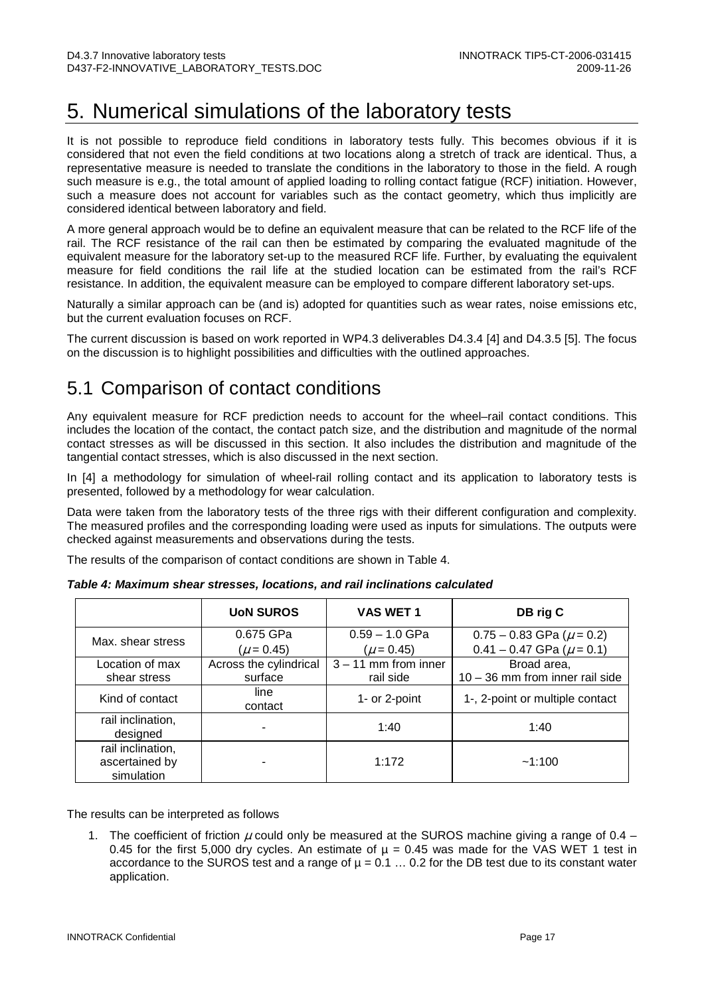# 5. Numerical simulations of the laboratory tests

It is not possible to reproduce field conditions in laboratory tests fully. This becomes obvious if it is considered that not even the field conditions at two locations along a stretch of track are identical. Thus, a representative measure is needed to translate the conditions in the laboratory to those in the field. A rough such measure is e.g., the total amount of applied loading to rolling contact fatigue (RCF) initiation. However, such a measure does not account for variables such as the contact geometry, which thus implicitly are considered identical between laboratory and field.

A more general approach would be to define an equivalent measure that can be related to the RCF life of the rail. The RCF resistance of the rail can then be estimated by comparing the evaluated magnitude of the equivalent measure for the laboratory set-up to the measured RCF life. Further, by evaluating the equivalent measure for field conditions the rail life at the studied location can be estimated from the rail's RCF resistance. In addition, the equivalent measure can be employed to compare different laboratory set-ups.

Naturally a similar approach can be (and is) adopted for quantities such as wear rates, noise emissions etc, but the current evaluation focuses on RCF.

The current discussion is based on work reported in WP4.3 deliverables D4.3.4 [4] and D4.3.5 [5]. The focus on the discussion is to highlight possibilities and difficulties with the outlined approaches.

## 5.1 Comparison of contact conditions

Any equivalent measure for RCF prediction needs to account for the wheel–rail contact conditions. This includes the location of the contact, the contact patch size, and the distribution and magnitude of the normal contact stresses as will be discussed in this section. It also includes the distribution and magnitude of the tangential contact stresses, which is also discussed in the next section.

In [4] a methodology for simulation of wheel-rail rolling contact and its application to laboratory tests is presented, followed by a methodology for wear calculation.

Data were taken from the laboratory tests of the three rigs with their different configuration and complexity. The measured profiles and the corresponding loading were used as inputs for simulations. The outputs were checked against measurements and observations during the tests.

The results of the comparison of contact conditions are shown in Table 4.

|                                                   | <b>UON SUROS</b>                  | <b>VAS WET 1</b>                    | DB rig C                                                             |
|---------------------------------------------------|-----------------------------------|-------------------------------------|----------------------------------------------------------------------|
| Max. shear stress                                 | 0.675 GPa<br>$(\mu = 0.45)$       | $0.59 - 1.0$ GPa<br>$(\mu = 0.45)$  | $0.75 - 0.83$ GPa ( $\mu$ = 0.2)<br>$0.41 - 0.47$ GPa ( $\mu$ = 0.1) |
| Location of max<br>shear stress                   | Across the cylindrical<br>surface | $3 - 11$ mm from inner<br>rail side | Broad area,<br>$10 - 36$ mm from inner rail side                     |
| Kind of contact                                   | line<br>contact                   | 1- or 2-point                       | 1-, 2-point or multiple contact                                      |
| rail inclination,<br>designed                     |                                   | 1:40                                | 1:40                                                                 |
| rail inclination,<br>ascertained by<br>simulation |                                   | 1:172                               | ~1:100                                                               |

| Table 4: Maximum shear stresses, locations, and rail inclinations calculated |  |  |  |  |
|------------------------------------------------------------------------------|--|--|--|--|
|------------------------------------------------------------------------------|--|--|--|--|

The results can be interpreted as follows

1. The coefficient of friction  $\mu$  could only be measured at the SUROS machine giving a range of 0.4 – 0.45 for the first 5,000 dry cycles. An estimate of  $\mu$  = 0.45 was made for the VAS WET 1 test in accordance to the SUROS test and a range of  $\mu = 0.1$  ... 0.2 for the DB test due to its constant water application.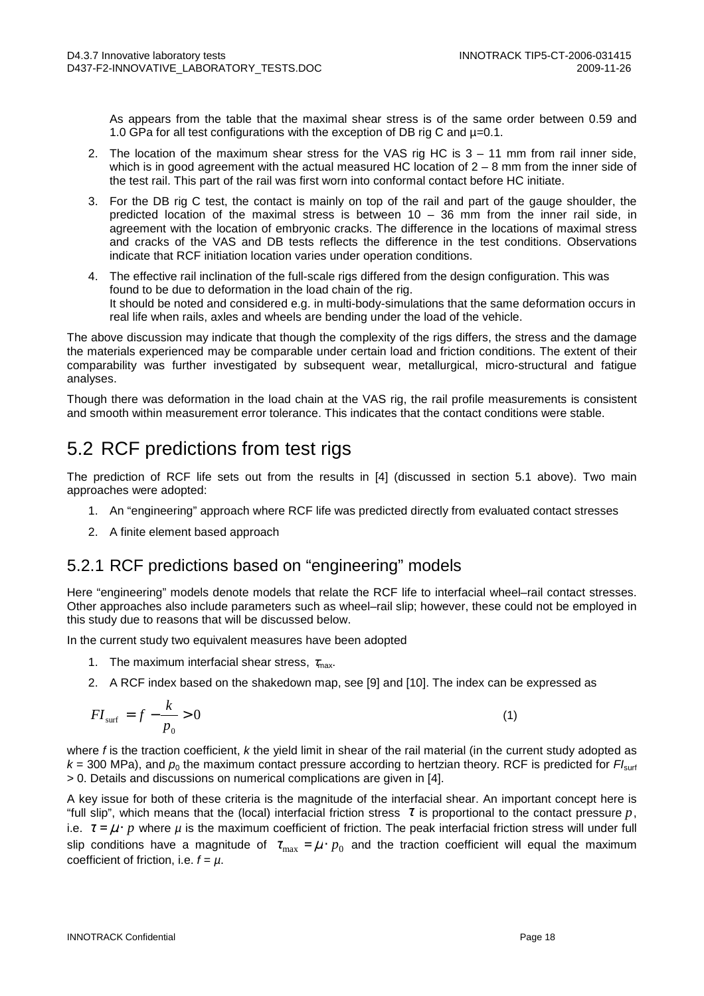As appears from the table that the maximal shear stress is of the same order between 0.59 and 1.0 GPa for all test configurations with the exception of DB rig C and  $\mu$ =0.1.

- 2. The location of the maximum shear stress for the VAS rig HC is 3 11 mm from rail inner side, which is in good agreement with the actual measured HC location of  $2 - 8$  mm from the inner side of the test rail. This part of the rail was first worn into conformal contact before HC initiate.
- 3. For the DB rig C test, the contact is mainly on top of the rail and part of the gauge shoulder, the predicted location of the maximal stress is between  $10 - 36$  mm from the inner rail side, in agreement with the location of embryonic cracks. The difference in the locations of maximal stress and cracks of the VAS and DB tests reflects the difference in the test conditions. Observations indicate that RCF initiation location varies under operation conditions.
- 4. The effective rail inclination of the full-scale rigs differed from the design configuration. This was found to be due to deformation in the load chain of the rig. It should be noted and considered e.g. in multi-body-simulations that the same deformation occurs in real life when rails, axles and wheels are bending under the load of the vehicle.

The above discussion may indicate that though the complexity of the rigs differs, the stress and the damage the materials experienced may be comparable under certain load and friction conditions. The extent of their comparability was further investigated by subsequent wear, metallurgical, micro-structural and fatigue analyses.

Though there was deformation in the load chain at the VAS rig, the rail profile measurements is consistent and smooth within measurement error tolerance. This indicates that the contact conditions were stable.

## 5.2 RCF predictions from test rigs

The prediction of RCF life sets out from the results in [4] (discussed in section 5.1 above). Two main approaches were adopted:

- 1. An "engineering" approach where RCF life was predicted directly from evaluated contact stresses
- 2. A finite element based approach

### 5.2.1 RCF predictions based on "engineering" models

Here "engineering" models denote models that relate the RCF life to interfacial wheel–rail contact stresses. Other approaches also include parameters such as wheel–rail slip; however, these could not be employed in this study due to reasons that will be discussed below.

In the current study two equivalent measures have been adopted

- 1. The maximum interfacial shear stress,  $\tau_{\text{max}}$ .
- 2. A RCF index based on the shakedown map, see [9] and [10]. The index can be expressed as

$$
FI_{\text{surf}} = f - \frac{k}{p_0} > 0\tag{1}
$$

where  $f$  is the traction coefficient,  $k$  the yield limit in shear of the rail material (in the current study adopted as  $k = 300$  MPa), and  $p_0$  the maximum contact pressure according to hertzian theory. RCF is predicted for  $F_{\text{surf}}$ > 0. Details and discussions on numerical complications are given in [4].

A key issue for both of these criteria is the magnitude of the interfacial shear. An important concept here is "full slip", which means that the (local) interfacial friction stress  $\tau$  is proportional to the contact pressure  $p$ , i.e.  $\tau = \mu \cdot p$  where  $\mu$  is the maximum coefficient of friction. The peak interfacial friction stress will under full slip conditions have a magnitude of  $\tau_{\max} = \mu \cdot p_0$  and the traction coefficient will equal the maximum coefficient of friction, i.e.  $f = \mu$ .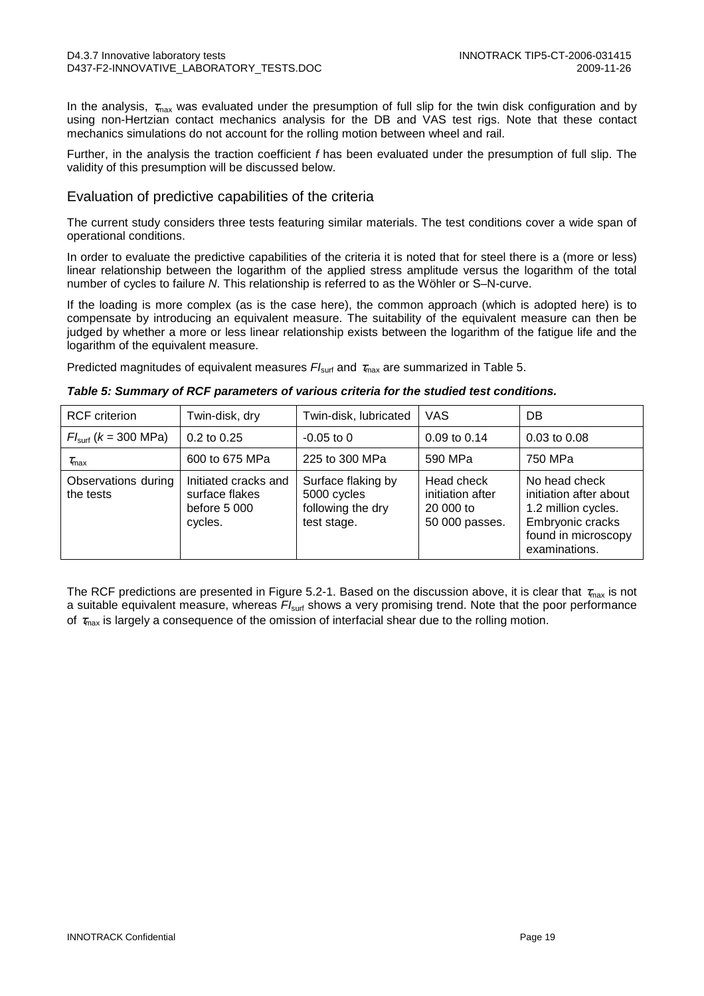In the analysis,  $\tau_{\text{max}}$  was evaluated under the presumption of full slip for the twin disk configuration and by using non-Hertzian contact mechanics analysis for the DB and VAS test rigs. Note that these contact mechanics simulations do not account for the rolling motion between wheel and rail.

Further, in the analysis the traction coefficient f has been evaluated under the presumption of full slip. The validity of this presumption will be discussed below.

#### Evaluation of predictive capabilities of the criteria

The current study considers three tests featuring similar materials. The test conditions cover a wide span of operational conditions.

In order to evaluate the predictive capabilities of the criteria it is noted that for steel there is a (more or less) linear relationship between the logarithm of the applied stress amplitude versus the logarithm of the total number of cycles to failure N. This relationship is referred to as the Wöhler or S–N-curve.

If the loading is more complex (as is the case here), the common approach (which is adopted here) is to compensate by introducing an equivalent measure. The suitability of the equivalent measure can then be judged by whether a more or less linear relationship exists between the logarithm of the fatigue life and the logarithm of the equivalent measure.

Predicted magnitudes of equivalent measures  $F_{\text{surf}}$  and  $\tau_{\text{max}}$  are summarized in Table 5.

| <b>RCF</b> criterion             | Twin-disk, dry                                                    | Twin-disk, lubricated                                                 | <b>VAS</b>                                                    | DB                                                                                                                         |
|----------------------------------|-------------------------------------------------------------------|-----------------------------------------------------------------------|---------------------------------------------------------------|----------------------------------------------------------------------------------------------------------------------------|
| $Flsurf$ ( $k = 300$ MPa)        | $0.2$ to $0.25$                                                   | $-0.05$ to 0                                                          | 0.09 to 0.14                                                  | $0.03$ to $0.08$                                                                                                           |
| $\tau_{\text{max}}$              | 600 to 675 MPa                                                    | 225 to 300 MPa                                                        | 590 MPa                                                       | 750 MPa                                                                                                                    |
| Observations during<br>the tests | Initiated cracks and<br>surface flakes<br>before 5 000<br>cycles. | Surface flaking by<br>5000 cycles<br>following the dry<br>test stage. | Head check<br>initiation after<br>20 000 to<br>50 000 passes. | No head check<br>initiation after about<br>1.2 million cycles.<br>Embryonic cracks<br>found in microscopy<br>examinations. |

#### **Table 5: Summary of RCF parameters of various criteria for the studied test conditions.**

The RCF predictions are presented in Figure 5.2-1. Based on the discussion above, it is clear that  $\tau_{\text{max}}$  is not a suitable equivalent measure, whereas  $FI_{\text{surf}}$  shows a very promising trend. Note that the poor performance of  $\tau_{\text{max}}$  is largely a consequence of the omission of interfacial shear due to the rolling motion.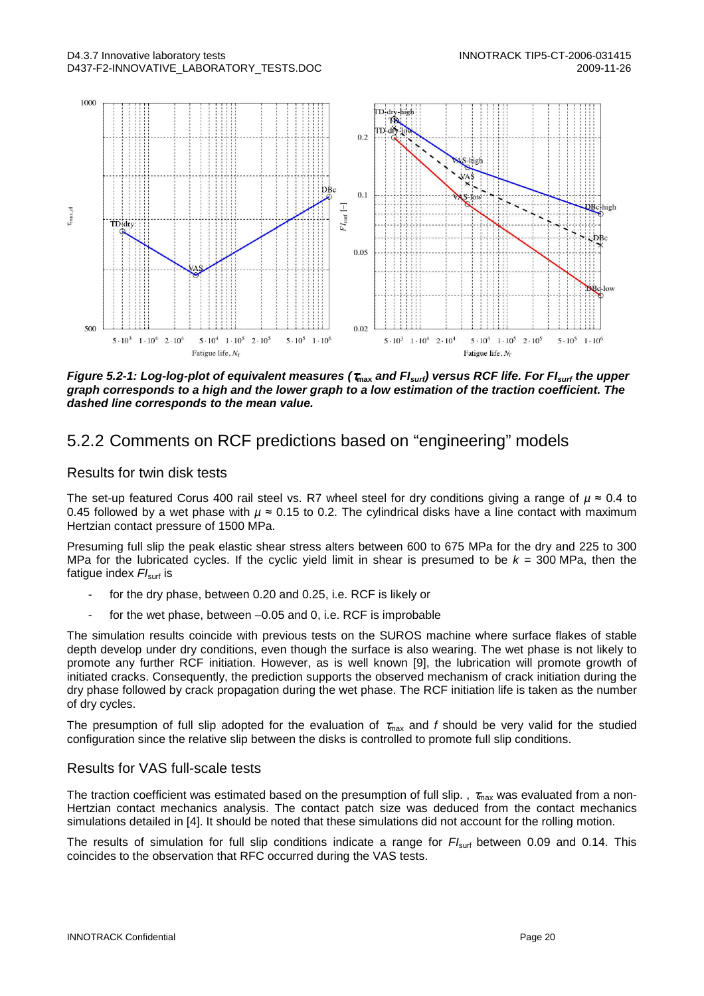

**Figure 5.2-1: Log-log-plot of equivalent measures (**<sup>τ</sup>**max and FIsurf) versus RCF life. For FIsurf the upper graph corresponds to a high and the lower graph to a low estimation of the traction coefficient. The dashed line corresponds to the mean value.** 

### 5.2.2 Comments on RCF predictions based on "engineering" models

#### Results for twin disk tests

The set-up featured Corus 400 rail steel vs. R7 wheel steel for dry conditions giving a range of  $\mu \approx 0.4$  to 0.45 followed by a wet phase with  $\mu \approx 0.15$  to 0.2. The cylindrical disks have a line contact with maximum Hertzian contact pressure of 1500 MPa.

Presuming full slip the peak elastic shear stress alters between 600 to 675 MPa for the dry and 225 to 300 MPa for the lubricated cycles. If the cyclic yield limit in shear is presumed to be  $k = 300$  MPa, then the fatigue index  $FI<sub>surf</sub>$  is

- for the dry phase, between 0.20 and 0.25, i.e. RCF is likely or
- for the wet phase, between -0.05 and 0, i.e. RCF is improbable

The simulation results coincide with previous tests on the SUROS machine where surface flakes of stable depth develop under dry conditions, even though the surface is also wearing. The wet phase is not likely to promote any further RCF initiation. However, as is well known [9], the lubrication will promote growth of initiated cracks. Consequently, the prediction supports the observed mechanism of crack initiation during the dry phase followed by crack propagation during the wet phase. The RCF initiation life is taken as the number of dry cycles.

The presumption of full slip adopted for the evaluation of  $\tau_{\text{max}}$  and f should be very valid for the studied configuration since the relative slip between the disks is controlled to promote full slip conditions.

#### Results for VAS full-scale tests

The traction coefficient was estimated based on the presumption of full slip.,  $\tau_{\text{max}}$  was evaluated from a non-Hertzian contact mechanics analysis. The contact patch size was deduced from the contact mechanics simulations detailed in [4]. It should be noted that these simulations did not account for the rolling motion.

The results of simulation for full slip conditions indicate a range for  $F_{\text{surf}}$  between 0.09 and 0.14. This coincides to the observation that RFC occurred during the VAS tests.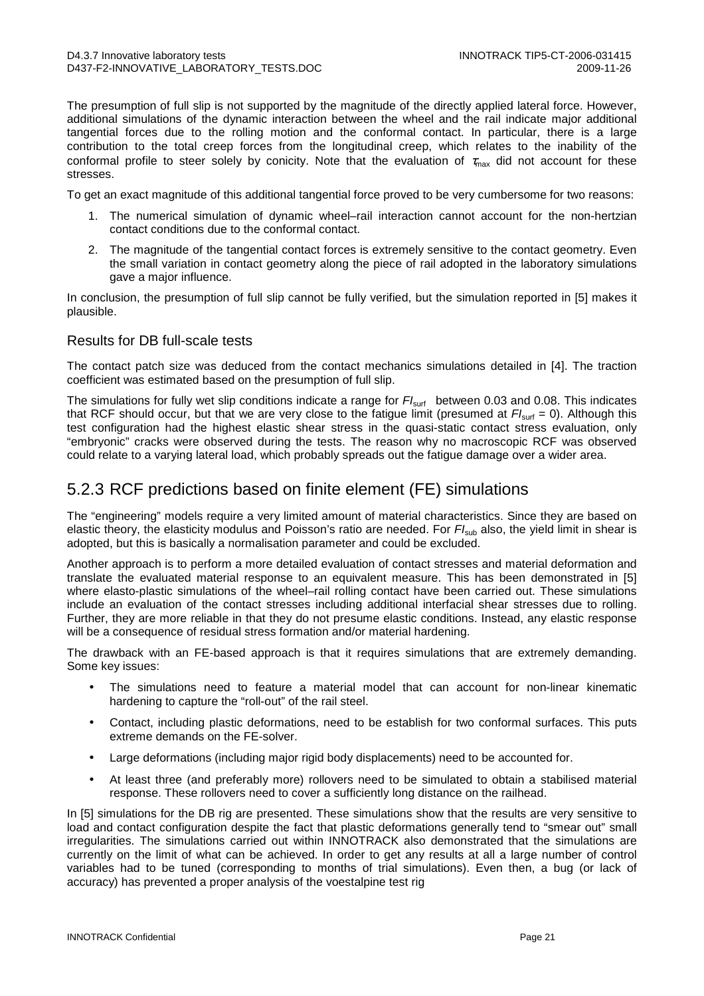The presumption of full slip is not supported by the magnitude of the directly applied lateral force. However, additional simulations of the dynamic interaction between the wheel and the rail indicate major additional tangential forces due to the rolling motion and the conformal contact. In particular, there is a large contribution to the total creep forces from the longitudinal creep, which relates to the inability of the conformal profile to steer solely by conicity. Note that the evaluation of  $\tau_{\text{max}}$  did not account for these stresses.

To get an exact magnitude of this additional tangential force proved to be very cumbersome for two reasons:

- 1. The numerical simulation of dynamic wheel–rail interaction cannot account for the non-hertzian contact conditions due to the conformal contact.
- 2. The magnitude of the tangential contact forces is extremely sensitive to the contact geometry. Even the small variation in contact geometry along the piece of rail adopted in the laboratory simulations gave a major influence.

In conclusion, the presumption of full slip cannot be fully verified, but the simulation reported in [5] makes it plausible.

#### Results for DB full-scale tests

The contact patch size was deduced from the contact mechanics simulations detailed in [4]. The traction coefficient was estimated based on the presumption of full slip.

The simulations for fully wet slip conditions indicate a range for  $F_{\text{surf}}$  between 0.03 and 0.08. This indicates that RCF should occur, but that we are very close to the fatigue limit (presumed at  $F_{\text{surf}} = 0$ ). Although this test configuration had the highest elastic shear stress in the quasi-static contact stress evaluation, only "embryonic" cracks were observed during the tests. The reason why no macroscopic RCF was observed could relate to a varying lateral load, which probably spreads out the fatigue damage over a wider area.

### 5.2.3 RCF predictions based on finite element (FE) simulations

The "engineering" models require a very limited amount of material characteristics. Since they are based on elastic theory, the elasticity modulus and Poisson's ratio are needed. For  $F_{sub}$  also, the yield limit in shear is adopted, but this is basically a normalisation parameter and could be excluded.

Another approach is to perform a more detailed evaluation of contact stresses and material deformation and translate the evaluated material response to an equivalent measure. This has been demonstrated in [5] where elasto-plastic simulations of the wheel–rail rolling contact have been carried out. These simulations include an evaluation of the contact stresses including additional interfacial shear stresses due to rolling. Further, they are more reliable in that they do not presume elastic conditions. Instead, any elastic response will be a consequence of residual stress formation and/or material hardening.

The drawback with an FE-based approach is that it requires simulations that are extremely demanding. Some key issues:

- The simulations need to feature a material model that can account for non-linear kinematic hardening to capture the "roll-out" of the rail steel.
- Contact, including plastic deformations, need to be establish for two conformal surfaces. This puts extreme demands on the FE-solver.
- Large deformations (including major rigid body displacements) need to be accounted for.
- At least three (and preferably more) rollovers need to be simulated to obtain a stabilised material response. These rollovers need to cover a sufficiently long distance on the railhead.

In [5] simulations for the DB rig are presented. These simulations show that the results are very sensitive to load and contact configuration despite the fact that plastic deformations generally tend to "smear out" small irregularities. The simulations carried out within INNOTRACK also demonstrated that the simulations are currently on the limit of what can be achieved. In order to get any results at all a large number of control variables had to be tuned (corresponding to months of trial simulations). Even then, a bug (or lack of accuracy) has prevented a proper analysis of the voestalpine test rig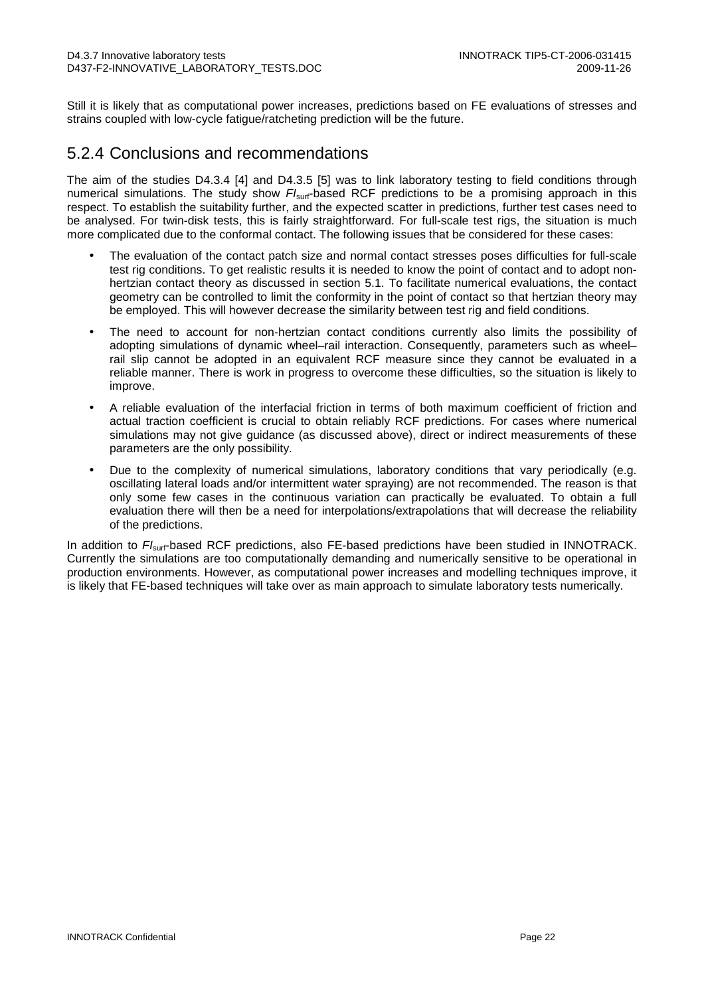Still it is likely that as computational power increases, predictions based on FE evaluations of stresses and strains coupled with low-cycle fatigue/ratcheting prediction will be the future.

### 5.2.4 Conclusions and recommendations

The aim of the studies D4.3.4 [4] and D4.3.5 [5] was to link laboratory testing to field conditions through numerical simulations. The study show  $F_{\text{surf}}$ -based RCF predictions to be a promising approach in this respect. To establish the suitability further, and the expected scatter in predictions, further test cases need to be analysed. For twin-disk tests, this is fairly straightforward. For full-scale test rigs, the situation is much more complicated due to the conformal contact. The following issues that be considered for these cases:

- The evaluation of the contact patch size and normal contact stresses poses difficulties for full-scale test rig conditions. To get realistic results it is needed to know the point of contact and to adopt nonhertzian contact theory as discussed in section 5.1. To facilitate numerical evaluations, the contact geometry can be controlled to limit the conformity in the point of contact so that hertzian theory may be employed. This will however decrease the similarity between test rig and field conditions.
- The need to account for non-hertzian contact conditions currently also limits the possibility of adopting simulations of dynamic wheel–rail interaction. Consequently, parameters such as wheel– rail slip cannot be adopted in an equivalent RCF measure since they cannot be evaluated in a reliable manner. There is work in progress to overcome these difficulties, so the situation is likely to improve.
- A reliable evaluation of the interfacial friction in terms of both maximum coefficient of friction and actual traction coefficient is crucial to obtain reliably RCF predictions. For cases where numerical simulations may not give guidance (as discussed above), direct or indirect measurements of these parameters are the only possibility.
- Due to the complexity of numerical simulations, laboratory conditions that vary periodically (e.g. oscillating lateral loads and/or intermittent water spraying) are not recommended. The reason is that only some few cases in the continuous variation can practically be evaluated. To obtain a full evaluation there will then be a need for interpolations/extrapolations that will decrease the reliability of the predictions.

In addition to  $F_{\text{surf}}$ -based RCF predictions, also FE-based predictions have been studied in INNOTRACK. Currently the simulations are too computationally demanding and numerically sensitive to be operational in production environments. However, as computational power increases and modelling techniques improve, it is likely that FE-based techniques will take over as main approach to simulate laboratory tests numerically.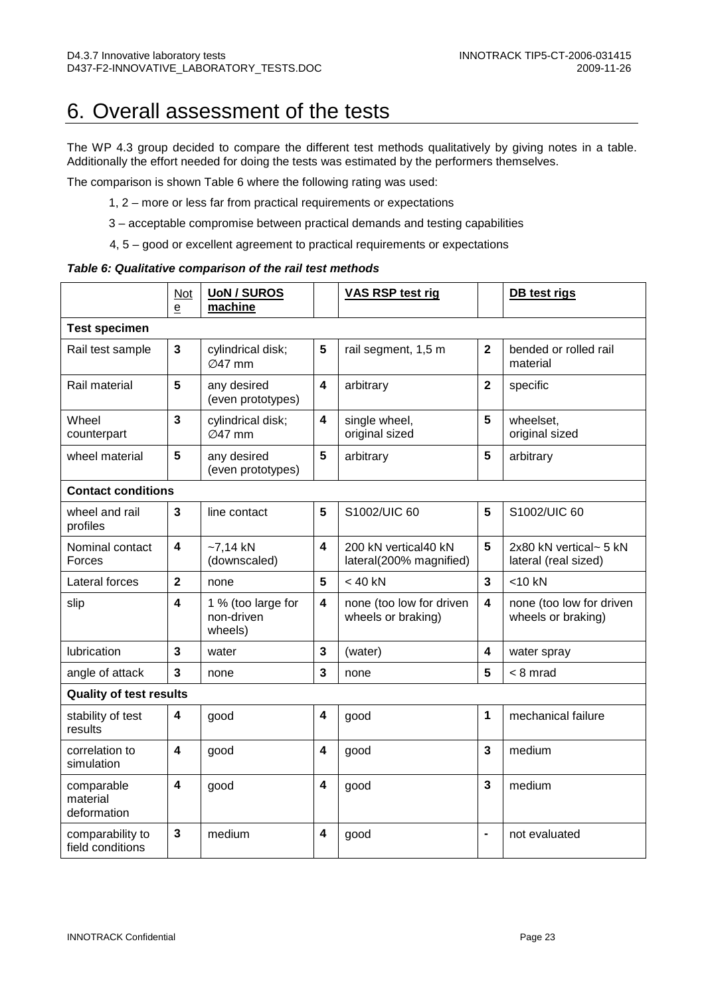# 6. Overall assessment of the tests

The WP 4.3 group decided to compare the different test methods qualitatively by giving notes in a table. Additionally the effort needed for doing the tests was estimated by the performers themselves.

The comparison is shown Table 6 where the following rating was used:

- 1, 2 more or less far from practical requirements or expectations
- 3 acceptable compromise between practical demands and testing capabilities
- 4, 5 good or excellent agreement to practical requirements or expectations

#### **Table 6: Qualitative comparison of the rail test methods**

|                                       | Not<br>е                | <b>UoN/SUROS</b><br>machine                 |                         | <b>VAS RSP test rig</b>                         |                         | DB test rigs                                   |  |  |  |
|---------------------------------------|-------------------------|---------------------------------------------|-------------------------|-------------------------------------------------|-------------------------|------------------------------------------------|--|--|--|
| <b>Test specimen</b>                  |                         |                                             |                         |                                                 |                         |                                                |  |  |  |
| Rail test sample                      | 3                       | cylindrical disk;<br>$Ø47$ mm               | $5\phantom{.0}$         | rail segment, 1,5 m                             | $\mathbf{2}$            | bended or rolled rail<br>material              |  |  |  |
| Rail material                         | 5                       | any desired<br>(even prototypes)            | $\overline{\mathbf{4}}$ | arbitrary                                       | $\overline{\mathbf{2}}$ | specific                                       |  |  |  |
| Wheel<br>counterpart                  | $\mathbf{3}$            | cylindrical disk;<br>$Ø47$ mm               | 4                       | single wheel,<br>original sized                 | 5                       | wheelset,<br>original sized                    |  |  |  |
| wheel material                        | 5                       | any desired<br>(even prototypes)            | 5                       | arbitrary                                       | $5\phantom{1}$          | arbitrary                                      |  |  |  |
| <b>Contact conditions</b>             |                         |                                             |                         |                                                 |                         |                                                |  |  |  |
| wheel and rail<br>profiles            | 3                       | line contact                                | 5                       | S1002/UIC 60                                    | 5                       | S1002/UIC 60                                   |  |  |  |
| Nominal contact<br>Forces             | 4                       | $-7,14$ kN<br>(downscaled)                  | $\overline{\mathbf{4}}$ | 200 kN vertical40 kN<br>lateral(200% magnified) | $5\phantom{.0}$         | 2x80 kN vertical~ 5 kN<br>lateral (real sized) |  |  |  |
| Lateral forces                        | $\overline{2}$          | none                                        | 5                       | $<$ 40 kN                                       | $\overline{\mathbf{3}}$ | $<$ 10 kN                                      |  |  |  |
| slip                                  | 4                       | 1 % (too large for<br>non-driven<br>wheels) | 4                       | none (too low for driven<br>wheels or braking)  | 4                       | none (too low for driven<br>wheels or braking) |  |  |  |
| lubrication                           | $\mathbf{3}$            | water                                       | $\mathbf{3}$            | (water)                                         | $\overline{\mathbf{4}}$ | water spray                                    |  |  |  |
| angle of attack                       | 3                       | none                                        | 3                       | none                                            | 5                       | $< 8$ mrad                                     |  |  |  |
| <b>Quality of test results</b>        |                         |                                             |                         |                                                 |                         |                                                |  |  |  |
| stability of test<br>results          | 4                       | good                                        | 4                       | good                                            | 1                       | mechanical failure                             |  |  |  |
| correlation to<br>simulation          | $\overline{\mathbf{4}}$ | good                                        | 4                       | good                                            | $\overline{\mathbf{3}}$ | medium                                         |  |  |  |
| comparable<br>material<br>deformation | $\overline{\mathbf{4}}$ | good                                        | 4                       | good                                            | $\mathbf{3}$            | medium                                         |  |  |  |
| comparability to<br>field conditions  | 3                       | medium                                      | 4                       | good                                            | $\blacksquare$          | not evaluated                                  |  |  |  |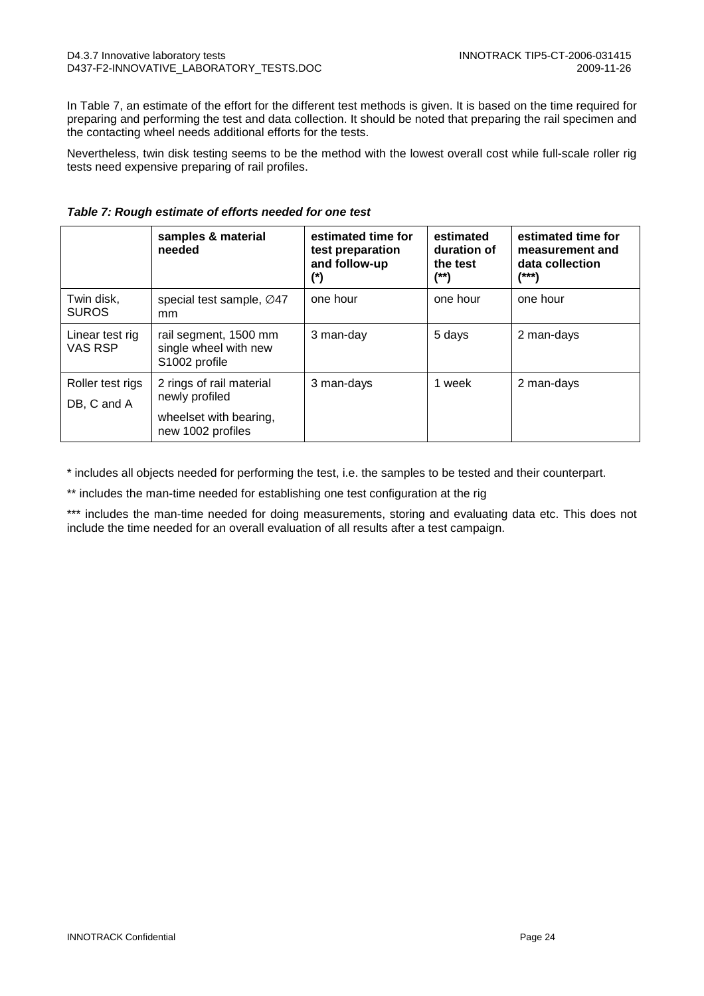In Table 7, an estimate of the effort for the different test methods is given. It is based on the time required for preparing and performing the test and data collection. It should be noted that preparing the rail specimen and the contacting wheel needs additional efforts for the tests.

Nevertheless, twin disk testing seems to be the method with the lowest overall cost while full-scale roller rig tests need expensive preparing of rail profiles.

| Table 7: Rough estimate of efforts needed for one test |
|--------------------------------------------------------|
|                                                        |

|                                 | samples & material<br>needed                                                              | estimated time for<br>test preparation<br>and follow-up<br>(*) | estimated<br>duration of<br>the test<br>(**) | estimated time for<br>measurement and<br>data collection<br>$^{***}$ |
|---------------------------------|-------------------------------------------------------------------------------------------|----------------------------------------------------------------|----------------------------------------------|----------------------------------------------------------------------|
| Twin disk,<br><b>SUROS</b>      | special test sample, Ø47<br>mm                                                            | one hour                                                       | one hour                                     | one hour                                                             |
| Linear test rig<br>VAS RSP      | rail segment, 1500 mm<br>single wheel with new<br>S1002 profile                           | 3 man-day                                                      | 5 days                                       | 2 man-days                                                           |
| Roller test rigs<br>DB, C and A | 2 rings of rail material<br>newly profiled<br>wheelset with bearing,<br>new 1002 profiles | 3 man-days                                                     | week                                         | 2 man-days                                                           |

\* includes all objects needed for performing the test, i.e. the samples to be tested and their counterpart.

\*\* includes the man-time needed for establishing one test configuration at the rig

\*\*\* includes the man-time needed for doing measurements, storing and evaluating data etc. This does not include the time needed for an overall evaluation of all results after a test campaign.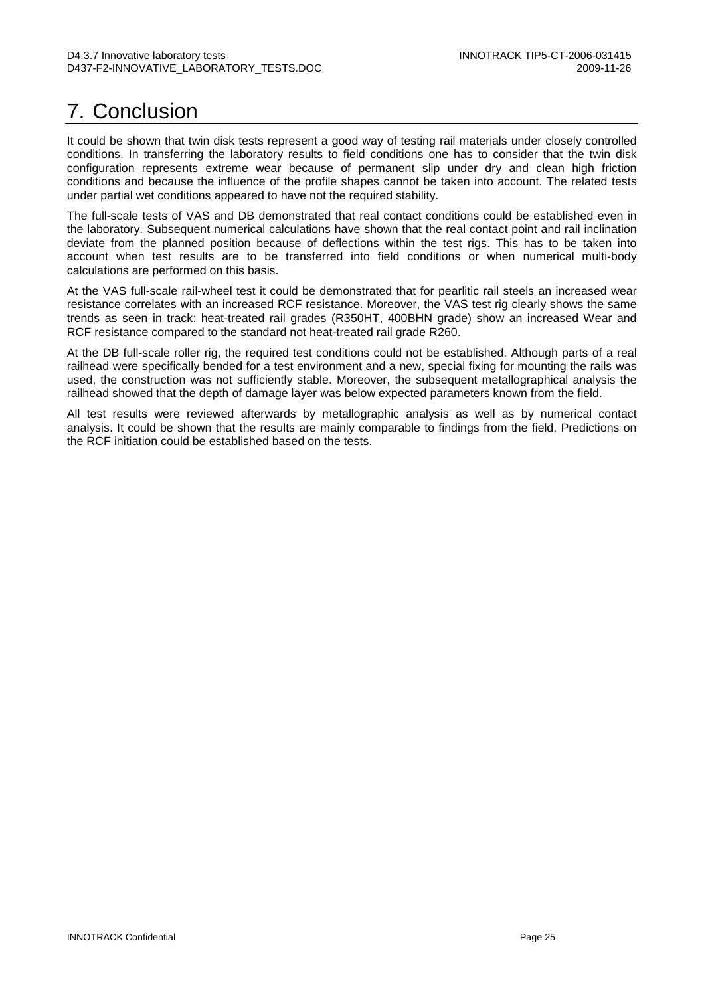# 7. Conclusion

It could be shown that twin disk tests represent a good way of testing rail materials under closely controlled conditions. In transferring the laboratory results to field conditions one has to consider that the twin disk configuration represents extreme wear because of permanent slip under dry and clean high friction conditions and because the influence of the profile shapes cannot be taken into account. The related tests under partial wet conditions appeared to have not the required stability.

The full-scale tests of VAS and DB demonstrated that real contact conditions could be established even in the laboratory. Subsequent numerical calculations have shown that the real contact point and rail inclination deviate from the planned position because of deflections within the test rigs. This has to be taken into account when test results are to be transferred into field conditions or when numerical multi-body calculations are performed on this basis.

At the VAS full-scale rail-wheel test it could be demonstrated that for pearlitic rail steels an increased wear resistance correlates with an increased RCF resistance. Moreover, the VAS test rig clearly shows the same trends as seen in track: heat-treated rail grades (R350HT, 400BHN grade) show an increased Wear and RCF resistance compared to the standard not heat-treated rail grade R260.

At the DB full-scale roller rig, the required test conditions could not be established. Although parts of a real railhead were specifically bended for a test environment and a new, special fixing for mounting the rails was used, the construction was not sufficiently stable. Moreover, the subsequent metallographical analysis the railhead showed that the depth of damage layer was below expected parameters known from the field.

All test results were reviewed afterwards by metallographic analysis as well as by numerical contact analysis. It could be shown that the results are mainly comparable to findings from the field. Predictions on the RCF initiation could be established based on the tests.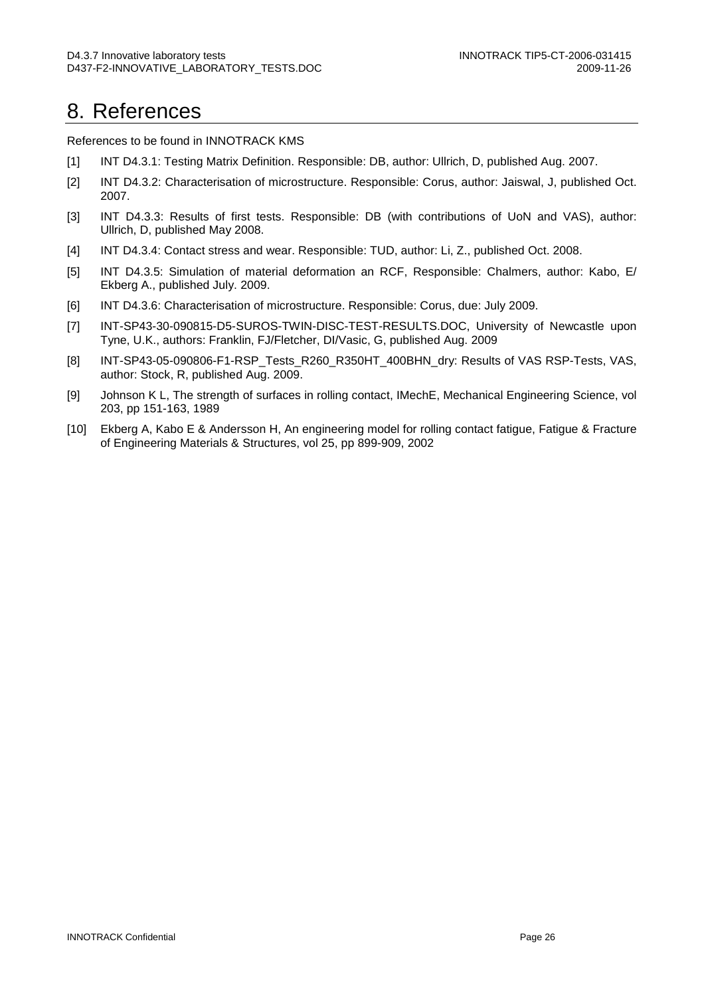# 8. References

References to be found in INNOTRACK KMS

- [1] INT D4.3.1: Testing Matrix Definition. Responsible: DB, author: Ullrich, D, published Aug. 2007.
- [2] INT D4.3.2: Characterisation of microstructure. Responsible: Corus, author: Jaiswal, J, published Oct. 2007.
- [3] INT D4.3.3: Results of first tests. Responsible: DB (with contributions of UoN and VAS), author: Ullrich, D, published May 2008.
- [4] INT D4.3.4: Contact stress and wear. Responsible: TUD, author: Li, Z., published Oct. 2008.
- [5] INT D4.3.5: Simulation of material deformation an RCF, Responsible: Chalmers, author: Kabo, E/ Ekberg A., published July. 2009.
- [6] INT D4.3.6: Characterisation of microstructure. Responsible: Corus, due: July 2009.
- [7] INT-SP43-30-090815-D5-SUROS-TWIN-DISC-TEST-RESULTS.DOC, University of Newcastle upon Tyne, U.K., authors: Franklin, FJ/Fletcher, DI/Vasic, G, published Aug. 2009
- [8] INT-SP43-05-090806-F1-RSP\_Tests\_R260\_R350HT\_400BHN\_dry: Results of VAS RSP-Tests, VAS, author: Stock, R, published Aug. 2009.
- [9] Johnson K L, The strength of surfaces in rolling contact, IMechE, Mechanical Engineering Science, vol 203, pp 151-163, 1989
- [10] Ekberg A, Kabo E & Andersson H, An engineering model for rolling contact fatigue, Fatigue & Fracture of Engineering Materials & Structures, vol 25, pp 899-909, 2002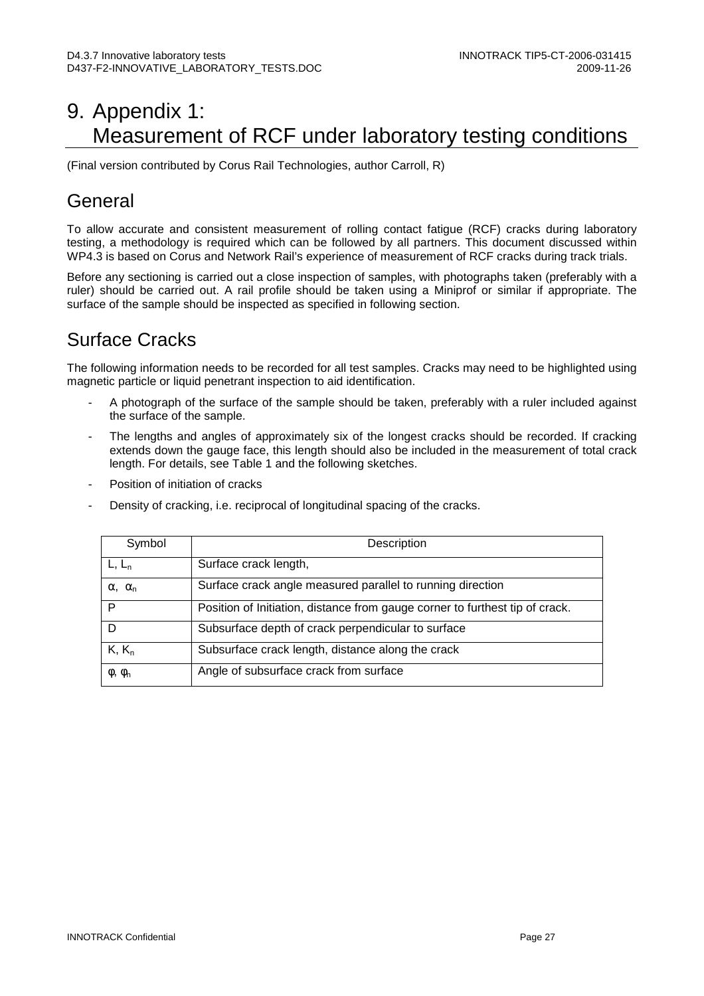# 9. Appendix 1: Measurement of RCF under laboratory testing conditions

(Final version contributed by Corus Rail Technologies, author Carroll, R)

### **General**

To allow accurate and consistent measurement of rolling contact fatigue (RCF) cracks during laboratory testing, a methodology is required which can be followed by all partners. This document discussed within WP4.3 is based on Corus and Network Rail's experience of measurement of RCF cracks during track trials.

Before any sectioning is carried out a close inspection of samples, with photographs taken (preferably with a ruler) should be carried out. A rail profile should be taken using a Miniprof or similar if appropriate. The surface of the sample should be inspected as specified in following section.

## Surface Cracks

The following information needs to be recorded for all test samples. Cracks may need to be highlighted using magnetic particle or liquid penetrant inspection to aid identification.

- A photograph of the surface of the sample should be taken, preferably with a ruler included against the surface of the sample.
- The lengths and angles of approximately six of the longest cracks should be recorded. If cracking extends down the gauge face, this length should also be included in the measurement of total crack length. For details, see Table 1 and the following sketches.
- Position of initiation of cracks
- Density of cracking, i.e. reciprocal of longitudinal spacing of the cracks.

| Symbol                           | Description                                                                  |
|----------------------------------|------------------------------------------------------------------------------|
| $L, L_n$                         | Surface crack length,                                                        |
| $\alpha$ , $\alpha$ <sub>n</sub> | Surface crack angle measured parallel to running direction                   |
| P                                | Position of Initiation, distance from gauge corner to furthest tip of crack. |
|                                  | Subsurface depth of crack perpendicular to surface                           |
| $K, K_n$                         | Subsurface crack length, distance along the crack                            |
| $\phi$ , $\phi$ <sub>n</sub>     | Angle of subsurface crack from surface                                       |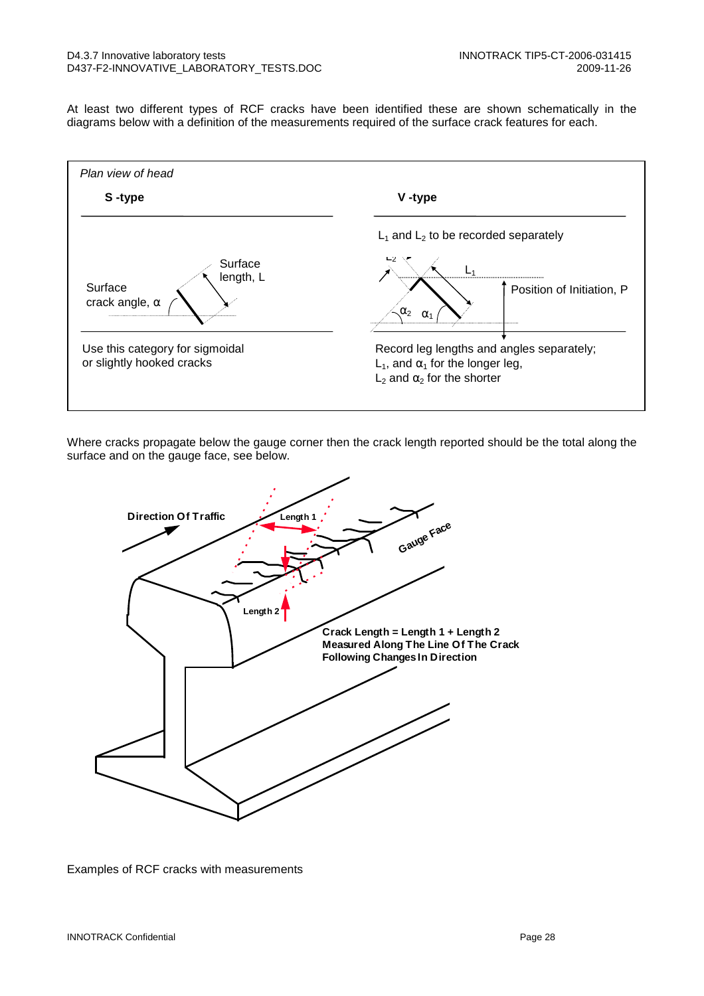At least two different types of RCF cracks have been identified these are shown schematically in the diagrams below with a definition of the measurements required of the surface crack features for each.



Where cracks propagate below the gauge corner then the crack length reported should be the total along the surface and on the gauge face, see below.



Examples of RCF cracks with measurements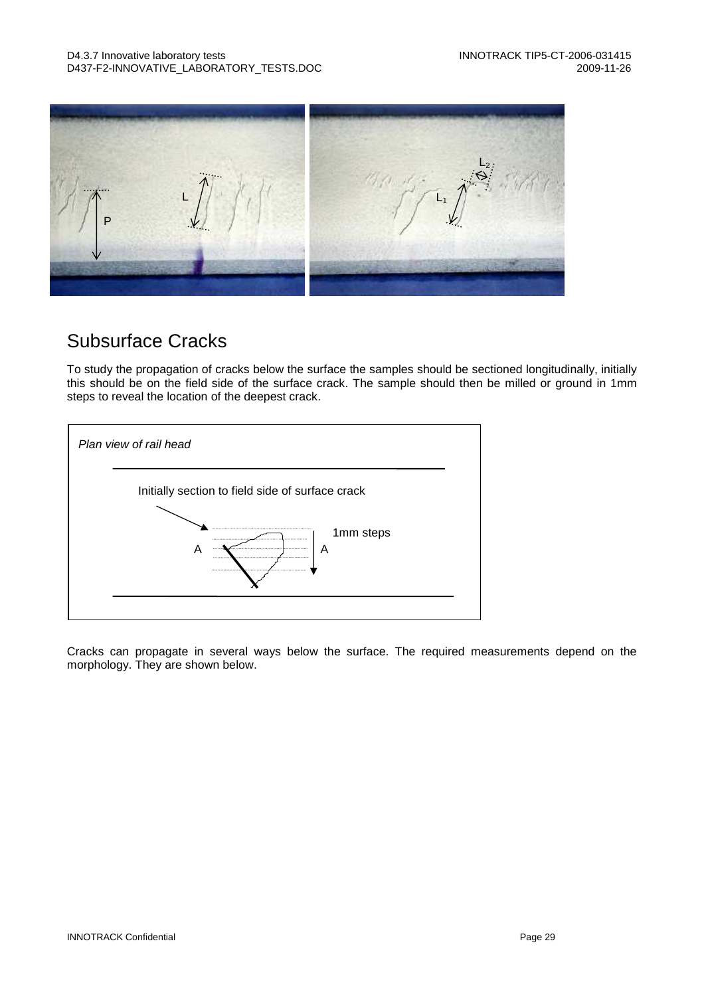

## Subsurface Cracks

To study the propagation of cracks below the surface the samples should be sectioned longitudinally, initially this should be on the field side of the surface crack. The sample should then be milled or ground in 1mm steps to reveal the location of the deepest crack.



Cracks can propagate in several ways below the surface. The required measurements depend on the morphology. They are shown below.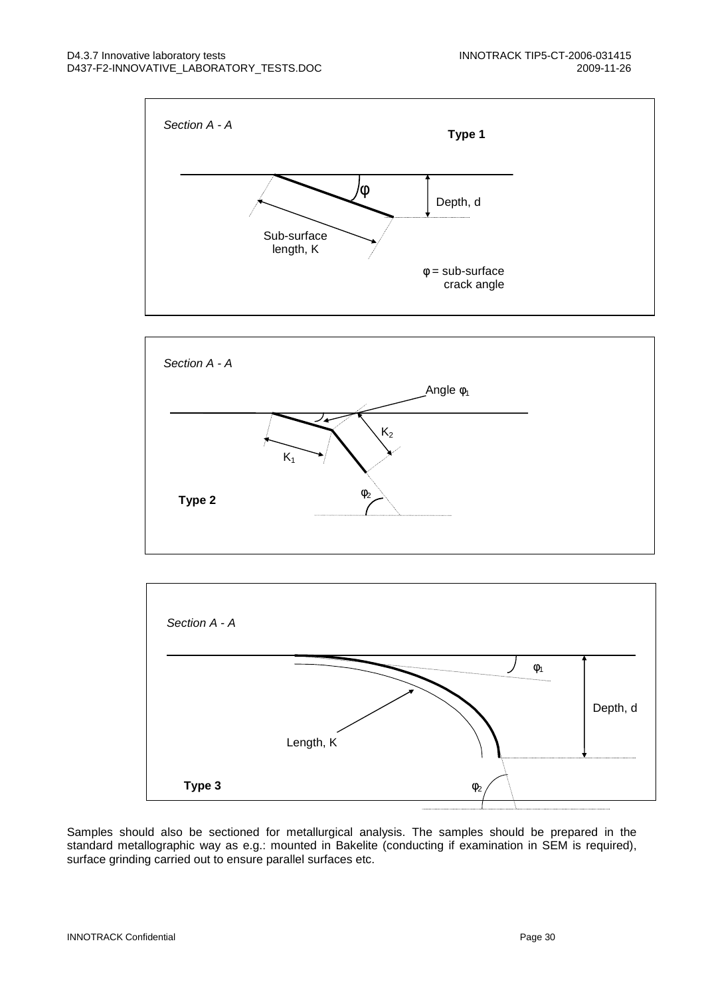





Samples should also be sectioned for metallurgical analysis. The samples should be prepared in the standard metallographic way as e.g.: mounted in Bakelite (conducting if examination in SEM is required), surface grinding carried out to ensure parallel surfaces etc.